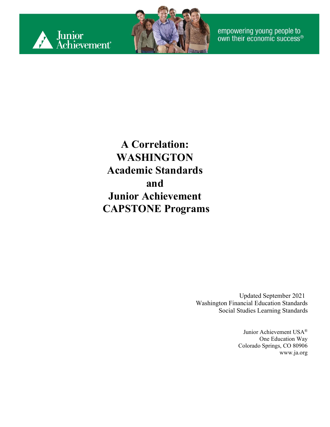



empowering young people to<br>own their economic success®

**A Correlation: WASHINGTON Academic Standards and Junior Achievement CAPSTONE Programs**

> Updated September 2021 Washington Financial Education Standards Social Studies Learning Standards

> > Junior Achievement USA® One Education Way Colorado Springs, CO 80906 [www.ja.org](http://www.ja.org/)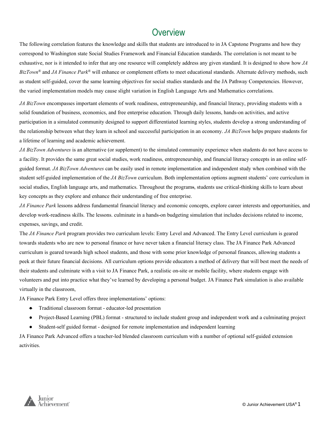#### **Overview**

The following correlation features the knowledge and skills that students are introduced to in JA Capstone Programs and how they correspond to Washington state Social Studies Framework and Financial Education standards. The correlation is not meant to be exhaustive, nor is it intended to infer that any one resource will completely address any given standard. It is designed to show how *JA BizTown®* and *JA Finance Park®* will enhance or complement efforts to meet educational standards. Alternate delivery methods, such as student self-guided, cover the same learning objectives for social studies standards and the JA Pathway Competencies. However, the varied implementation models may cause slight variation in English Language Arts and Mathematics correlations.

*JA BizTown* encompasses important elements of work readiness, entrepreneurship, and financial literacy, providing students with a solid foundation of business, economics, and free enterprise education. Through daily lessons, hands-on activities, and active participation in a simulated community designed to support differentiated learning styles, students develop a strong understanding of the relationship between what they learn in school and successful participation in an economy. *JA BizTown* helps prepare students for a lifetime of learning and academic achievement.

*JA BizTown Adventures* is an alternative (or supplement) to the simulated community experience when students do not have access to a facility. It provides the same great social studies, work readiness, entrepreneurship, and financial literacy concepts in an online selfguided format. *JA BizTown Adventures* can be easily used in remote implementation and independent study when combined with the student self-guided implementation of the *JA BizTown* curriculum. Both implementation options augment students' core curriculum in social studies, English language arts, and mathematics. Throughout the programs, students use critical-thinking skills to learn about key concepts as they explore and enhance their understanding of free enterprise.

*JA Finance Park* lessons address fundamental financial literacy and economic concepts, explore career interests and opportunities, and develop work-readiness skills. The lessons. culminate in a hands-on budgeting simulation that includes decisions related to income, expenses, savings, and credit.

The *JA Finance Park* program provides two curriculum levels: Entry Level and Advanced. The Entry Level curriculum is geared towards students who are new to personal finance or have never taken a financial literacy class. The JA Finance Park Advanced curriculum is geared towards high school students, and those with some prior knowledge of personal finances, allowing students a peek at their future financial decisions. All curriculum options provide educators a method of delivery that will best meet the needs of their students and culminate with a visit to JA Finance Park, a realistic on-site or mobile facility, where students engage with volunteers and put into practice what they've learned by developing a personal budget. JA Finance Park simulation is also available virtually in the classroom,

JA Finance Park Entry Level offers three implementations' options:

- Traditional classroom format educator-led presentation
- Project-Based Learning (PBL) format structured to include student group and independent work and a culminating project
- Student-self guided format designed for remote implementation and independent learning

JA Finance Park Advanced offers a teacher-led blended classroom curriculum with a number of optional self-guided extension activities.

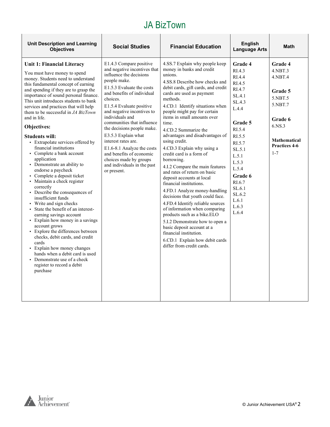| <b>Unit Description and Learning</b><br><b>Objectives</b>                                                                                                                                                                                                                                                                                                                                                                                                                                                                                                                                                                                                                                                                                                                                                                                                                                                                                                                                                                                                                                           | <b>Social Studies</b>                                                                                                                                                                                                                                                                                                                                                                                                                                                                              | <b>Financial Education</b>                                                                                                                                                                                                                                                                                                                                                                                                                                                                                                                                                                                                                                                                                                                                                                                                                                                                                            | <b>English</b><br><b>Language Arts</b>                                                                                                                                                                                         | <b>Math</b>                                                                                                                                        |
|-----------------------------------------------------------------------------------------------------------------------------------------------------------------------------------------------------------------------------------------------------------------------------------------------------------------------------------------------------------------------------------------------------------------------------------------------------------------------------------------------------------------------------------------------------------------------------------------------------------------------------------------------------------------------------------------------------------------------------------------------------------------------------------------------------------------------------------------------------------------------------------------------------------------------------------------------------------------------------------------------------------------------------------------------------------------------------------------------------|----------------------------------------------------------------------------------------------------------------------------------------------------------------------------------------------------------------------------------------------------------------------------------------------------------------------------------------------------------------------------------------------------------------------------------------------------------------------------------------------------|-----------------------------------------------------------------------------------------------------------------------------------------------------------------------------------------------------------------------------------------------------------------------------------------------------------------------------------------------------------------------------------------------------------------------------------------------------------------------------------------------------------------------------------------------------------------------------------------------------------------------------------------------------------------------------------------------------------------------------------------------------------------------------------------------------------------------------------------------------------------------------------------------------------------------|--------------------------------------------------------------------------------------------------------------------------------------------------------------------------------------------------------------------------------|----------------------------------------------------------------------------------------------------------------------------------------------------|
| Unit 1: Financial Literacy<br>You must have money to spend<br>money. Students need to understand<br>this fundamental concept of earning<br>and spending if they are to grasp the<br>importance of sound personal finance.<br>This unit introduces students to bank<br>services and practices that will help<br>them to be successful in <i>JA BizTown</i><br>and in life.<br>Objectives:<br><b>Students will:</b><br>• Extrapolate services offered by<br>financial institutions<br>• Complete a bank account<br>application<br>• Demonstrate an ability to<br>endorse a paycheck<br>• Complete a deposit ticket<br>• Maintain a check register<br>correctly<br>• Describe the consequences of<br>insufficient funds<br>• Write and sign checks<br>· State the benefit of an interest-<br>earning savings account<br>• Explain how money in a savings<br>account grows<br>• Explore the differences between<br>checks, debit cards, and credit<br>cards<br>• Explain how money changes<br>hands when a debit card is used<br>• Demonstrate use of a check<br>register to record a debit<br>purchase | E1.4.3 Compare positive<br>and negative incentives that<br>influence the decisions<br>people make.<br>E1.5.3 Evaluate the costs<br>and benefits of individual<br>choices.<br>E1.5.4 Evaluate positive<br>and negative incentives to<br>individuals and<br>communities that influence<br>the decisions people make.<br>E3.5.3 Explain what<br>interest rates are.<br>E1.6-8.1 Analyze the costs<br>and benefits of economic<br>choices made by groups<br>and individuals in the past<br>or present. | 4.SS.7 Explain why people keep<br>money in banks and credit<br>unions.<br>4.SS.8 Describe how checks and<br>debit cards, gift cards, and credit<br>cards are used as payment<br>methods.<br>4.CD.1 Identify situations when<br>people might pay for certain<br>items in small amounts over<br>time.<br>4.CD.2 Summarize the<br>advantages and disadvantages of<br>using credit.<br>4.CD.3 Explain why using a<br>credit card is a form of<br>borrowing.<br>4.I.2 Compare the main features<br>and rates of return on basic<br>deposit accounts at local<br>financial institutions.<br>4.FD.1 Analyze money-handling<br>decisions that youth could face.<br>4.FD.4 Identify reliable sources<br>of information when comparing<br>products such as a bike.ELO<br>5.I.2 Demonstrate how to open a<br>basic deposit account at a<br>financial institution.<br>6.CD.1 Explain how debit cards<br>differ from credit cards. | Grade 4<br>RI.4.3<br>RI.4.4<br>RI.4.5<br>RI.4.7<br>SL.4.1<br>SL.4.3<br>L.4.4<br>Grade 5<br>RI.5.4<br>RI.5.5<br>RI.5.7<br>SL.5.1<br>L.5.1<br>L.5.3<br>L.5.4<br>Grade 6<br>RI.6.7<br>SL.6.1<br>SL.6.2<br>L.6.1<br>L.6.3<br>L.6.4 | Grade 4<br>$4.$ NBT $.3$<br>$4.$ NBT $.4$<br>Grade 5<br>5.NBT.5<br>5.NBT.7<br>Grade 6<br>6.NS.3<br><b>Mathematical</b><br>Practices 4-6<br>$1 - 7$ |

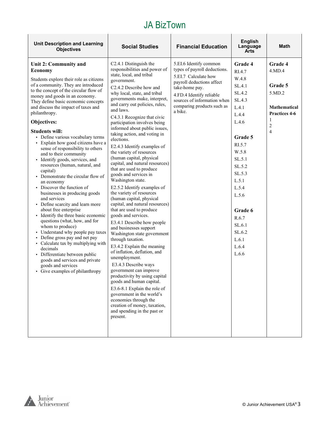| <b>Unit Description and Learning</b><br><b>Objectives</b>                                                                                                                                                                                                                                                                                                                                                                                                                                                                                                                                                                                                                                                                                                                                                                                                                                                                                                                                                                                                                                                                  | <b>Social Studies</b>                                                                                                                                                                                                                                                                                                                                                                                                                                                                                                                                                                                                                                                                                                                                                                                                                                                                                                                                                                                                                                                                                                                                                                                                                                               | <b>Financial Education</b>                                                                                                                                                                                                        | <b>English</b><br>Language<br>Arts                                                                                                                                                                                                            | Math                                                                                                                    |
|----------------------------------------------------------------------------------------------------------------------------------------------------------------------------------------------------------------------------------------------------------------------------------------------------------------------------------------------------------------------------------------------------------------------------------------------------------------------------------------------------------------------------------------------------------------------------------------------------------------------------------------------------------------------------------------------------------------------------------------------------------------------------------------------------------------------------------------------------------------------------------------------------------------------------------------------------------------------------------------------------------------------------------------------------------------------------------------------------------------------------|---------------------------------------------------------------------------------------------------------------------------------------------------------------------------------------------------------------------------------------------------------------------------------------------------------------------------------------------------------------------------------------------------------------------------------------------------------------------------------------------------------------------------------------------------------------------------------------------------------------------------------------------------------------------------------------------------------------------------------------------------------------------------------------------------------------------------------------------------------------------------------------------------------------------------------------------------------------------------------------------------------------------------------------------------------------------------------------------------------------------------------------------------------------------------------------------------------------------------------------------------------------------|-----------------------------------------------------------------------------------------------------------------------------------------------------------------------------------------------------------------------------------|-----------------------------------------------------------------------------------------------------------------------------------------------------------------------------------------------------------------------------------------------|-------------------------------------------------------------------------------------------------------------------------|
| Unit 2: Community and<br><b>Economy</b><br>Students explore their role as citizens<br>of a community. They are introduced<br>to the concept of the circular flow of<br>money and goods in an economy.<br>They define basic economic concepts<br>and discuss the impact of taxes and<br>philanthropy.<br>Objectives:<br><b>Students will:</b><br>• Define various vocabulary terms<br>· Explain how good citizens have a<br>sense of responsibility to others<br>and to their community<br>· Identify goods, services, and<br>resources (human, natural, and<br>capital)<br>• Demonstrate the circular flow of<br>an economy<br>• Discover the function of<br>businesses in producing goods<br>and services<br>• Define scarcity and learn more<br>about free enterprise<br>• Identify the three basic economic<br>questions (what, how, and for<br>whom to produce)<br>• Understand why people pay taxes<br>• Define gross pay and net pay<br>• Calculate tax by multiplying with<br>decimals<br>· Differentiate between public<br>goods and services and private<br>goods and services<br>• Give examples of philanthropy | C2.4.1 Distinguish the<br>responsibilities and power of<br>state, local, and tribal<br>government.<br>C <sub>2</sub> .4.2 Describe how and<br>why local, state, and tribal<br>governments make, interpret,<br>and carry out policies, rules,<br>and laws.<br>C4.3.1 Recognize that civic<br>participation involves being<br>informed about public issues,<br>taking action, and voting in<br>elections.<br>E2.4.3 Identify examples of<br>the variety of resources<br>(human capital, physical<br>capital, and natural resources)<br>that are used to produce<br>goods and services in<br>Washington state.<br>E2.5.2 Identify examples of<br>the variety of resources<br>(human capital, physical<br>capital, and natural resources)<br>that are used to produce<br>goods and services.<br>E3.4.1 Describe how people<br>and businesses support<br>Washington state government<br>through taxation.<br>E3.4.2 Explain the meaning<br>of inflation, deflation, and<br>unemployment.<br>E3.4.3 Describe ways<br>government can improve<br>productivity by using capital<br>goods and human capital.<br>E3.6-8.1 Explain the role of<br>government in the world's<br>economies through the<br>creation of money, taxation,<br>and spending in the past or<br>present. | 5.EI.6 Identify common<br>types of payroll deductions.<br>5.EI.7 Calculate how<br>payroll deductions affect<br>take-home pay.<br>4.FD.4 Identify reliable<br>sources of information when<br>comparing products such as<br>a bike. | Grade 4<br>RI.4.7<br>W.4.8<br>SL.4.1<br>SL.4.2<br>SL.4.3<br>L.4.1<br>L.4.4<br>L.4.6<br>Grade 5<br>RI.5.7<br>W.5.8<br>SL.5.1<br>SL.5.2<br>SL.5.3<br>L.5.1<br>L.5.4<br>L.5.6<br>Grade 6<br>R.6.7<br>SL.6.1<br>SL.6.2<br>L.6.1<br>L.6.4<br>L.6.6 | Grade 4<br>4.MD.4<br>Grade 5<br>5.MD.2<br><b>Mathematical</b><br>Practices 4-6<br>1<br>$\overline{c}$<br>$\overline{4}$ |
|                                                                                                                                                                                                                                                                                                                                                                                                                                                                                                                                                                                                                                                                                                                                                                                                                                                                                                                                                                                                                                                                                                                            |                                                                                                                                                                                                                                                                                                                                                                                                                                                                                                                                                                                                                                                                                                                                                                                                                                                                                                                                                                                                                                                                                                                                                                                                                                                                     |                                                                                                                                                                                                                                   |                                                                                                                                                                                                                                               |                                                                                                                         |

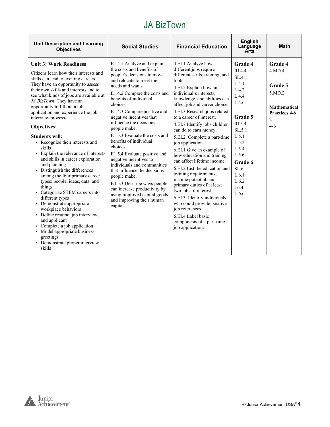| <b>Unit Description and Learning</b><br><b>Objectives</b>                                                                                                                                                                                                                                                                                                                                                                                                                                                                                                                                                                                                                                                                                                                                                                                                                                                                                                | <b>Social Studies</b>                                                                                                                                                                                                                                                                                                                                                                                                                                                                                                                                                                                                                                                       | <b>Financial Education</b>                                                                                                                                                                                                                                                                                                                                                                                                                                                                                                                                                                                                                                                                                                                                                         | <b>English</b><br>Language<br>Arts                                                                                                                                                         | <b>Math</b>                                                                                               |
|----------------------------------------------------------------------------------------------------------------------------------------------------------------------------------------------------------------------------------------------------------------------------------------------------------------------------------------------------------------------------------------------------------------------------------------------------------------------------------------------------------------------------------------------------------------------------------------------------------------------------------------------------------------------------------------------------------------------------------------------------------------------------------------------------------------------------------------------------------------------------------------------------------------------------------------------------------|-----------------------------------------------------------------------------------------------------------------------------------------------------------------------------------------------------------------------------------------------------------------------------------------------------------------------------------------------------------------------------------------------------------------------------------------------------------------------------------------------------------------------------------------------------------------------------------------------------------------------------------------------------------------------------|------------------------------------------------------------------------------------------------------------------------------------------------------------------------------------------------------------------------------------------------------------------------------------------------------------------------------------------------------------------------------------------------------------------------------------------------------------------------------------------------------------------------------------------------------------------------------------------------------------------------------------------------------------------------------------------------------------------------------------------------------------------------------------|--------------------------------------------------------------------------------------------------------------------------------------------------------------------------------------------|-----------------------------------------------------------------------------------------------------------|
| <b>Unit 3: Work Readiness</b><br>Citizens learn how their interests and<br>skills can lead to exciting careers.<br>They have an opportunity to assess<br>their own skills and interests and to<br>see what kinds of jobs are available at<br>JA BizTown. They have an<br>opportunity to fill out a job<br>application and experience the job<br>interview process.<br>Objectives:<br><b>Students will:</b><br>• Recognize their interests and<br>skills<br>• Explain the relevance of interests<br>and skills in career exploration<br>and planning<br>• Distinguish the differences<br>among the four primary career<br>types: people, ideas, data, and<br>things<br>• Categorize STEM careers into<br>different types<br>• Demonstrate appropriate<br>workplace behaviors<br>• Define resume, job interview,<br>and applicant<br>• Complete a job application<br>• Model appropriate business<br>greetings<br>• Demonstrate proper interview<br>skills | E1.4.1 Analyze and explain<br>the costs and benefits of<br>people's decisions to move<br>and relocate to meet their<br>needs and wants.<br>E1.4.2 Compare the costs and<br>benefits of individual<br>choices.<br>E1.4.3 Compare positive and<br>negative incentives that<br>influence the decisions<br>people make.<br>E1.5.3 Evaluate the costs and<br>benefits of individual<br>choices.<br>E1.5.4 Evaluate positive and<br>negative incentives to<br>individuals and communities<br>that influence the decisions<br>people make.<br>E4.5.3 Describe ways people<br>can increase productivity by<br>using improved capital goods<br>and improving their human<br>capital. | 4.EI.1 Analyze how<br>different jobs require<br>different skills, training, and<br>tools.<br>4.EI.2 Explain how an<br>individual's interests.<br>knowledge, and abilities can<br>affect job and career choice.<br>4.EI.3 Research jobs related<br>to a career of interest.<br>4.EI.7 Identify jobs children<br>can do to earn money.<br>5.EI.2 Complete a part-time<br>job application.<br>6.EI.1 Give an example of<br>how education and training<br>can affect lifetime income.<br>6.EI.2 List the education and<br>training requirements,<br>income potential, and<br>primary duties of at least<br>two jobs of interest.<br>6.EI.3 Identify individuals<br>who could provide positive<br>job references.<br>6.EL4 Label basic<br>components of a part-time<br>job application. | Grade 4<br>RI.4.4<br>SL.4.1<br>L.4.1<br>L.4.2<br>L.4.4<br>L.4.6<br>Grade 5<br>RI.5.4<br>SL.5.1<br>L.5.1<br>L.5.2<br>L.5.4<br>L.5.6<br>Grade 6<br>SL 6.1<br>L.6.1<br>L.6.2<br>L6.4<br>L.6.6 | Grade 4<br>4.MD.4<br>Grade 5<br>5.MD.2<br><b>Mathematical</b><br>Practices 4-6<br>$\mathfrak{D}$<br>$4-6$ |

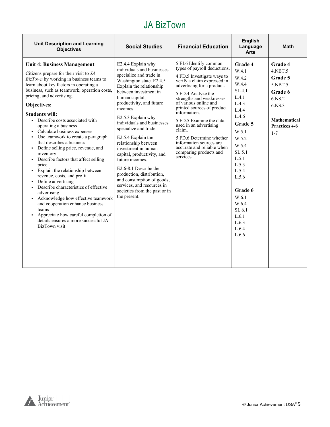| <b>Unit Description and Learning</b><br><b>Objectives</b>                                                                                                                                                                                                                                                                                                                                                                                                                                                                                                                                                                                                                                                                                                                                                                                                                                                                                                         | <b>Social Studies</b>                                                                                                                                                                                                                                                                                                                                                                                                                                                                                                                                                                                    | <b>Financial Education</b>                                                                                                                                                                                                                                                                                                                                                                                                                                            | <b>English</b><br>Language<br><b>Arts</b>                                                                                                                                                                                                              | <b>Math</b>                                                                                                                                    |
|-------------------------------------------------------------------------------------------------------------------------------------------------------------------------------------------------------------------------------------------------------------------------------------------------------------------------------------------------------------------------------------------------------------------------------------------------------------------------------------------------------------------------------------------------------------------------------------------------------------------------------------------------------------------------------------------------------------------------------------------------------------------------------------------------------------------------------------------------------------------------------------------------------------------------------------------------------------------|----------------------------------------------------------------------------------------------------------------------------------------------------------------------------------------------------------------------------------------------------------------------------------------------------------------------------------------------------------------------------------------------------------------------------------------------------------------------------------------------------------------------------------------------------------------------------------------------------------|-----------------------------------------------------------------------------------------------------------------------------------------------------------------------------------------------------------------------------------------------------------------------------------------------------------------------------------------------------------------------------------------------------------------------------------------------------------------------|--------------------------------------------------------------------------------------------------------------------------------------------------------------------------------------------------------------------------------------------------------|------------------------------------------------------------------------------------------------------------------------------------------------|
| <b>Unit 4: Business Management</b><br>Citizens prepare for their visit to $JA$<br>BizTown by working in business teams to<br>learn about key factors in operating a<br>business, such as teamwork, operation costs,<br>pricing, and advertising.<br>Objectives:<br><b>Students will:</b><br>• Describe costs associated with<br>operating a business<br>• Calculate business expenses<br>Use teamwork to create a paragraph<br>that describes a business<br>• Define selling price, revenue, and<br>inventory<br>Describe factors that affect selling<br>$\blacksquare$<br>price<br>Explain the relationship between<br>$\blacksquare$<br>revenue, costs, and profit<br>Define advertising<br>Describe characteristics of effective<br>advertising<br>• Acknowledge how effective teamwork<br>and cooperation enhance business<br>teams<br>Appreciate how careful completion of<br>$\blacksquare$<br>details ensures a more successful JA<br><b>BizTown</b> visit | E2.4.4 Explain why<br>individuals and businesses<br>specialize and trade in<br>Washington state. E2.4.5<br>Explain the relationship<br>between investment in<br>human capital,<br>productivity, and future<br>incomes.<br>E2.5.3 Explain why<br>individuals and businesses<br>specialize and trade.<br>E2.5.4 Explain the<br>relationship between<br>investment in human<br>capital, productivity, and<br>future incomes.<br>E <sub>2.6</sub> -8.1 Describe the<br>production, distribution,<br>and consumption of goods,<br>services, and resources in<br>societies from the past or in<br>the present. | 5.EI.6 Identify common<br>types of payroll deductions.<br>4.FD.5 Investigate ways to<br>verify a claim expressed in<br>advertising for a product.<br>5.FD.4 Analyze the<br>strengths and weaknesses<br>of various online and<br>printed sources of product<br>information.<br>5.FD.5 Examine the data<br>used in an advertising<br>claim.<br>5.FD.6 Determine whether<br>information sources are<br>accurate and reliable when<br>comparing products and<br>services. | <b>Grade 4</b><br>W.4.1<br>W.4.2<br>W.4.4<br>SL.4.1<br>L.4.1<br>L.4.3<br>L.4.4<br>L.4.6<br>Grade 5<br>W.5.1<br>W.5.2<br>W.5.4<br>SL.5.1<br>L.5.1<br>L.5.3<br>L.5.4<br>L.5.6<br>Grade 6<br>W.6.1<br>W.6.4<br>SL.6.1<br>L.6.1<br>L.6.3<br>L.6.4<br>L.6.6 | Grade 4<br>$4.$ NBT $.5$<br>Grade 5<br>5.NBT.5<br><b>Grade 6</b><br>6.NS.2<br>6.NS.3<br><b>Mathematical</b><br><b>Practices 4-6</b><br>$1 - 7$ |

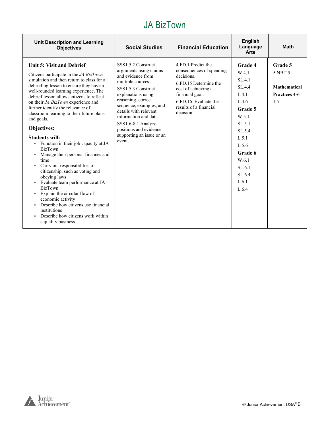| <b>Unit Description and Learning</b><br><b>Objectives</b>                                                                                                                                                                                                                                                                                                                                                                                                                                                                                                                                                                                                                                                                                                                                                                                                                                                                        | <b>Social Studies</b>                                                                                                                                                                                                                                                                                                        | <b>Financial Education</b>                                                                                                                                                                     | <b>English</b><br>Language<br><b>Arts</b>                                                                                                                                  | <b>Math</b>                                                           |
|----------------------------------------------------------------------------------------------------------------------------------------------------------------------------------------------------------------------------------------------------------------------------------------------------------------------------------------------------------------------------------------------------------------------------------------------------------------------------------------------------------------------------------------------------------------------------------------------------------------------------------------------------------------------------------------------------------------------------------------------------------------------------------------------------------------------------------------------------------------------------------------------------------------------------------|------------------------------------------------------------------------------------------------------------------------------------------------------------------------------------------------------------------------------------------------------------------------------------------------------------------------------|------------------------------------------------------------------------------------------------------------------------------------------------------------------------------------------------|----------------------------------------------------------------------------------------------------------------------------------------------------------------------------|-----------------------------------------------------------------------|
| Unit 5: Visit and Debrief<br>Citizens participate in the JA BizTown<br>simulation and then return to class for a<br>debriefing lesson to ensure they have a<br>well-rounded learning experience. The<br>debrief lesson allows citizens to reflect<br>on their JA BizTown experience and<br>further identify the relevance of<br>classroom learning to their future plans<br>and goals.<br>Objectives:<br><b>Students will:</b><br>Function in their job capacity at JA<br>٠<br><b>BizTown</b><br>Manage their personal finances and<br>٠<br>time<br>Carry out responsibilities of<br>$\blacksquare$<br>citizenship, such as voting and<br>obeying laws<br>Evaluate team performance at JA<br>٠<br><b>BizTown</b><br>Explain the circular flow of<br>٠<br>economic activity<br>Describe how citizens use financial<br>$\blacksquare$<br>institutions<br>Describe how citizens work within<br>$\blacksquare$<br>a quality business | SSS1.5.2 Construct<br>arguments using claims<br>and evidence from<br>multiple sources.<br>SSS1.5.3 Construct<br>explanations using<br>reasoning, correct<br>sequence, examples, and<br>details with relevant<br>information and data.<br>SSS1.6-8.1 Analyze<br>positions and evidence<br>supporting an issue or an<br>event. | 4.FD.1 Predict the<br>consequences of spending<br>decisions.<br>6.FD.15 Determine the<br>cost of achieving a<br>financial goal.<br>6.FD.16 Evaluate the<br>results of a financial<br>decision. | Grade 4<br>W.4.1<br>SL.4.1<br>SL.4.4<br>L.4.1<br>L.4.6<br>Grade 5<br>W.5.1<br>SL.5.1<br>SL.5.4<br>L.5.1<br>L.5.6<br>Grade 6<br>W.6.1<br>SL.6.1<br>SL.6.4<br>L.6.1<br>L.6.4 | Grade 5<br>5.NBT.5<br><b>Mathematical</b><br>Practices 4-6<br>$1 - 7$ |

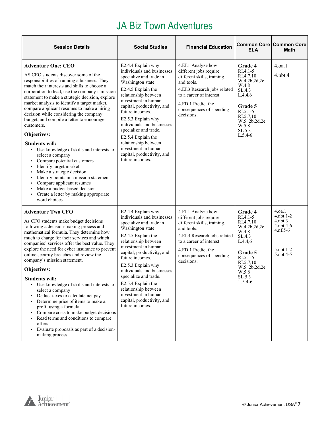## JA Biz Town Adventures

| <b>Session Details</b>                                                                                                                                                                                                                                                                                                                                                                                                                                                                                                                                                                                                                                                                                                                                                                                                                              | <b>Social Studies</b>                                                                                                                                                                                                                                                                                                                                                                                                     | <b>Financial Education</b>                                                                                                                                                                                            | <b>ELA</b>                                                                                                                                                              | <b>Common Core Common Core</b><br>Math                                            |
|-----------------------------------------------------------------------------------------------------------------------------------------------------------------------------------------------------------------------------------------------------------------------------------------------------------------------------------------------------------------------------------------------------------------------------------------------------------------------------------------------------------------------------------------------------------------------------------------------------------------------------------------------------------------------------------------------------------------------------------------------------------------------------------------------------------------------------------------------------|---------------------------------------------------------------------------------------------------------------------------------------------------------------------------------------------------------------------------------------------------------------------------------------------------------------------------------------------------------------------------------------------------------------------------|-----------------------------------------------------------------------------------------------------------------------------------------------------------------------------------------------------------------------|-------------------------------------------------------------------------------------------------------------------------------------------------------------------------|-----------------------------------------------------------------------------------|
| <b>Adventure One: CEO</b><br>AS CEO students discover some of the<br>responsibilities of running a business. They<br>match their interests and skills to choose a<br>corporation to lead, use the company's mission<br>statement to make a strategic decision, explore<br>market analysis to identify a target market,<br>compare applicant resumes to make a hiring<br>decision while considering the company<br>budget, and compile a letter to encourage<br>customers.<br>Objectives:<br><b>Students will:</b><br>• Use knowledge of skills and interests to<br>select a company<br>Compare potential customers<br>Identify target market<br>٠<br>Make a strategic decision<br>٠<br>Identify points in a mission statement<br>Compare applicant resumes<br>Make a budget-based decision<br>Create a letter by making appropriate<br>word choices | E2.4.4 Explain why<br>individuals and businesses<br>specialize and trade in<br>Washington state.<br>E2.4.5 Explain the<br>relationship between<br>investment in human<br>capital, productivity, and<br>future incomes.<br>E2.5.3 Explain why<br>individuals and businesses<br>specialize and trade.<br>E2.5.4 Explain the<br>relationship between<br>investment in human<br>capital, productivity, and<br>future incomes. | 4.EI.1 Analyze how<br>different jobs require<br>different skills, training,<br>and tools.<br>4.EI.3 Research jobs related<br>to a career of interest.<br>4.FD.1 Predict the<br>consequences of spending<br>decisions. | Grade 4<br>$RI.4.1-5$<br>RI.4.7,10<br>W.4.2b,2d,2e<br>W.4.8<br>SL.4.3<br>L.4.4.6<br>Grade 5<br>RI.5.1-5<br>RI.5.7,10<br>W.5. 2b, 2d, 2e<br>W.5.8<br>SL.5.3<br>$L.5.4-6$ | 4.0a.1<br>$4.$ nbt. $4$                                                           |
| <b>Adventure Two CFO</b><br>As CFO students make budget decisions<br>following a decision-making process and<br>mathematical formula. They determine how<br>much to charge for their services and which<br>companies' services offer the best value. They<br>explore the need for cyber insurance to prevent<br>online security breaches and review the<br>company's mission statement.<br>Objectives:<br>Students will:<br>• Use knowledge of skills and interests to<br>select a company<br>Deduct taxes to calculate net pay<br>٠<br>Determine price of items to make a<br>٠<br>profit using a formula<br>Compare costs to make budget decisions<br>Read terms and conditions to compare<br>٠<br>offers<br>Evaluate proposals as part of a decision-<br>making process                                                                           | E2.4.4 Explain why<br>individuals and businesses<br>specialize and trade in<br>Washington state.<br>E2.4.5 Explain the<br>relationship between<br>investment in human<br>capital, productivity, and<br>future incomes.<br>E2.5.3 Explain why<br>individuals and businesses<br>specialize and trade.<br>E2.5.4 Explain the<br>relationship between<br>investment in human<br>capital, productivity, and<br>future incomes. | 4.EI.1 Analyze how<br>different jobs require<br>different skills, training,<br>and tools.<br>4.EI.3 Research jobs related<br>to a career of interest.<br>4.FD.1 Predict the<br>consequences of spending<br>decisions. | Grade 4<br>$RI.4.1-5$<br>RI.4.7,10<br>W.4.2b,2d,2e<br>W.4.8<br>SL.4.3<br>L.4.4,6<br>Grade 5<br>RI.5.1-5<br>RI.5.7,10<br>W.5.2b,2d,2e<br>W.5.8<br>SL.5.3<br>$L.5.4-6$    | 4.oa.1<br>4.nbt.1-2<br>4.nbt.3<br>4.nbt.4-6<br>4.nf.5-6<br>5.nbt.1-2<br>5.nbt.4-5 |

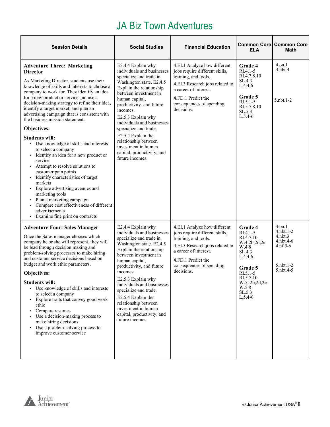# JA Biz Town Adventures

| <b>Session Details</b>                                                                                                                                                                                                                                                                                                                                                                                                                                                                                                                                                                                                                                                                                                                                                                                                                                                                    | <b>Social Studies</b>                                                                                                                                                                                                                                                                                                                                                                                                     | <b>Financial Education</b>                                                                                                                                                                                         | <b>ELA</b>                                                                                                                                                            | <b>Common Core   Common Core</b><br><b>Math</b>                                                         |
|-------------------------------------------------------------------------------------------------------------------------------------------------------------------------------------------------------------------------------------------------------------------------------------------------------------------------------------------------------------------------------------------------------------------------------------------------------------------------------------------------------------------------------------------------------------------------------------------------------------------------------------------------------------------------------------------------------------------------------------------------------------------------------------------------------------------------------------------------------------------------------------------|---------------------------------------------------------------------------------------------------------------------------------------------------------------------------------------------------------------------------------------------------------------------------------------------------------------------------------------------------------------------------------------------------------------------------|--------------------------------------------------------------------------------------------------------------------------------------------------------------------------------------------------------------------|-----------------------------------------------------------------------------------------------------------------------------------------------------------------------|---------------------------------------------------------------------------------------------------------|
| <b>Adventure Three: Marketing</b><br><b>Director</b><br>As Marketing Director, students use their<br>knowledge of skills and interests to choose a<br>company to work for. They identify an idea<br>for a new product or service and use a<br>decision-making strategy to refine their idea,<br>identify a target market, and plan an<br>advertising campaign that is consistent with<br>the business mission statement.<br>Objectives:<br><b>Students will:</b><br>• Use knowledge of skills and interests<br>to select a company<br>· Identify an idea for a new product or<br>service<br>Attempt to resolve solutions to<br>customer pain points<br>Identify characteristics of target<br>markets<br>Explore advertising avenues and<br>marketing tools<br>Plan a marketing campaign<br>Compare cost effectiveness of different<br>advertisements<br>• Examine fine print on contracts | E2.4.4 Explain why<br>individuals and businesses<br>specialize and trade in<br>Washington state. E2.4.5<br>Explain the relationship<br>between investment in<br>human capital,<br>productivity, and future<br>incomes.<br>E2.5.3 Explain why<br>individuals and businesses<br>specialize and trade.<br>E2.5.4 Explain the<br>relationship between<br>investment in human<br>capital, productivity, and<br>future incomes. | 4.EI.1 Analyze how different<br>jobs require different skills,<br>training, and tools.<br>4.EI.3 Research jobs related to<br>a career of interest.<br>4.FD.1 Predict the<br>consequences of spending<br>decisions. | Grade 4<br>RI.4.1-5<br>RI.4.7,8,10<br>SL.4.3<br>L.4.4,6<br><b>Grade 5</b><br>$R1.5.1-5$<br>RI.5.7,8,10<br>SL.5.3<br>$L.5.4-6$                                         | 4.oa.1<br>$4.$ nbt. $4$<br>5.nbt.1-2                                                                    |
| <b>Adventure Four: Sales Manager</b><br>Once the Sales manager chooses which<br>company he or she will represent, they will<br>be lead through decision making and<br>problem-solving processes to make hiring<br>and customer service decisions based on<br>budget and work ethic parameters.<br>Objectives:<br><b>Students will:</b><br>• Use knowledge of skills and interests<br>to select a company<br>• Explore traits that convey good work<br>ethic<br>• Compare resumes<br>• Use a decision-making process to<br>make hiring decisions<br>Use a problem-solving process to<br>improve customer service                                                                                                                                                                                                                                                                           | E2.4.4 Explain why<br>individuals and businesses<br>specialize and trade in<br>Washington state. E2.4.5<br>Explain the relationship<br>between investment in<br>human capital,<br>productivity, and future<br>incomes.<br>E2.5.3 Explain why<br>individuals and businesses<br>specialize and trade.<br>E2.5.4 Explain the<br>relationship between<br>investment in human<br>capital, productivity, and<br>future incomes. | 4.EI.1 Analyze how different<br>jobs require different skills,<br>training, and tools.<br>4.EI.3 Research jobs related to<br>a career of interest.<br>4.FD.1 Predict the<br>consequences of spending<br>decisions. | Grade 4<br>RI.4.1-5<br>RI.4.7,10<br>W.4.2b,2d,2e<br>W.4.8<br>SL.4.3<br>L.4.4,6<br>Grade 5<br>RI.5.1-5<br>RI.5.7,10<br>W.5. 2b, 2d, 2e<br>W.5.8<br>SL.5.3<br>$L.5.4-6$ | 4.0a.1<br>$4.$ nbt. $1-2$<br>$4.$ nbt $.3$<br>4.nbt.4-6<br>$4.nf.5-6$<br>$5.$ nbt. $1-2$<br>5. nbt. 4-5 |

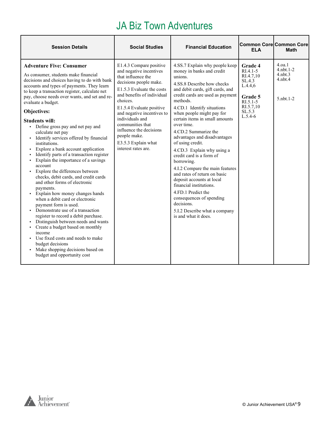# JA Biz Town Adventures

| <b>Session Details</b>                                                                                                                                                                                                                                                                                                                                                                                                                                                                                                                                                                                                                                                                                                                                                                                                                                                                                                                                                                                                                                                                                                                | <b>Social Studies</b>                                                                                                                                                                                                                                                                                                                                               | <b>Financial Education</b>                                                                                                                                                                                                                                                                                                                                                                                                                                                                                                                                                                                                                                                                                  | <b>ELA</b>                                                                                                          | <b>Common Core Common Core</b><br><b>Math</b>                             |
|---------------------------------------------------------------------------------------------------------------------------------------------------------------------------------------------------------------------------------------------------------------------------------------------------------------------------------------------------------------------------------------------------------------------------------------------------------------------------------------------------------------------------------------------------------------------------------------------------------------------------------------------------------------------------------------------------------------------------------------------------------------------------------------------------------------------------------------------------------------------------------------------------------------------------------------------------------------------------------------------------------------------------------------------------------------------------------------------------------------------------------------|---------------------------------------------------------------------------------------------------------------------------------------------------------------------------------------------------------------------------------------------------------------------------------------------------------------------------------------------------------------------|-------------------------------------------------------------------------------------------------------------------------------------------------------------------------------------------------------------------------------------------------------------------------------------------------------------------------------------------------------------------------------------------------------------------------------------------------------------------------------------------------------------------------------------------------------------------------------------------------------------------------------------------------------------------------------------------------------------|---------------------------------------------------------------------------------------------------------------------|---------------------------------------------------------------------------|
| <b>Adventure Five: Consumer</b><br>As consumer, students make financial<br>decisions and choices having to do with bank<br>accounts and types of payments. They learn<br>to keep a transaction register, calculate net<br>pay, choose needs over wants, and set and re-<br>evaluate a budget.<br>Objectives:<br><b>Students will:</b><br>• Define gross pay and net pay and<br>calculate net pay<br>• Identify services offered by financial<br>institutions.<br>Explore a bank account application<br>Identify parts of a transaction register<br>Explain the importance of a savings<br>account<br>• Explore the differences between<br>checks, debit cards, and credit cards<br>and other forms of electronic<br>payments.<br>• Explain how money changes hands<br>when a debit card or electronic<br>payment form is used.<br>• Demonstrate use of a transaction<br>register to record a debit purchase.<br>• Distinguish between needs and wants<br>• Create a budget based on monthly<br>income<br>• Use fixed costs and needs to make<br>budget decisions<br>• Make shopping decisions based on<br>budget and opportunity cost | E1.4.3 Compare positive<br>and negative incentives<br>that influence the<br>decisions people make.<br>E1.5.3 Evaluate the costs<br>and benefits of individual<br>choices.<br>E1.5.4 Evaluate positive<br>and negative incentives to<br>individuals and<br>communities that<br>influence the decisions<br>people make.<br>E3.5.3 Explain what<br>interest rates are. | 4.SS.7 Explain why people keep<br>money in banks and credit<br>unions.<br>4.SS.8 Describe how checks<br>and debit cards, gift cards, and<br>credit cards are used as payment<br>methods.<br>4.CD.1 Identify situations<br>when people might pay for<br>certain items in small amounts<br>over time.<br>4.CD.2 Summarize the<br>advantages and disadvantages<br>of using credit.<br>4.CD.3 Explain why using a<br>credit card is a form of<br>borrowing.<br>4.I.2 Compare the main features<br>and rates of return on basic<br>deposit accounts at local<br>financial institutions.<br>4.FD.1 Predict the<br>consequences of spending<br>decisions.<br>5.I.2 Describe what a company<br>is and what it does. | Grade 4<br>$RIA.1-5$<br>RI.4.7.10<br>SL.4.3<br>L.4.4.6<br>Grade 5<br>$RI.5.1-5$<br>RI.5.7,10<br>SL.5.3<br>$L.5.4-6$ | 4.0a.1<br>$4.$ nht $.1-2.$<br>$4.$ nbt $.3$<br>$4.$ nbt. $4$<br>5.nbt.1-2 |

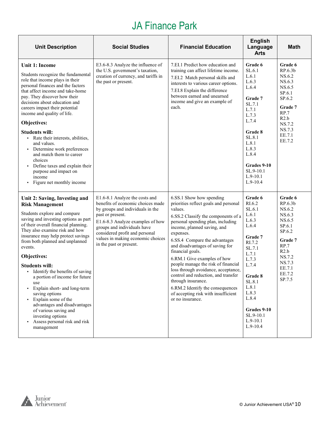# JA Finance Park

| <b>Unit Description</b>                                                                                                                                                                                                                                                                                                                                                                                                                                                                                                                                                                                                             | <b>Social Studies</b>                                                                                                                                                                                                                                                                            | <b>Financial Education</b>                                                                                                                                                                                                                                                                                                                                                                                                                                                                                                                                            | <b>English</b><br>Language<br><b>Arts</b>                                                                                                                                                                                | <b>Math</b>                                                                                                                                         |
|-------------------------------------------------------------------------------------------------------------------------------------------------------------------------------------------------------------------------------------------------------------------------------------------------------------------------------------------------------------------------------------------------------------------------------------------------------------------------------------------------------------------------------------------------------------------------------------------------------------------------------------|--------------------------------------------------------------------------------------------------------------------------------------------------------------------------------------------------------------------------------------------------------------------------------------------------|-----------------------------------------------------------------------------------------------------------------------------------------------------------------------------------------------------------------------------------------------------------------------------------------------------------------------------------------------------------------------------------------------------------------------------------------------------------------------------------------------------------------------------------------------------------------------|--------------------------------------------------------------------------------------------------------------------------------------------------------------------------------------------------------------------------|-----------------------------------------------------------------------------------------------------------------------------------------------------|
| <b>Unit 1: Income</b><br>Students recognize the fundamental<br>role that income plays in their<br>personal finances and the factors<br>that affect income and take-home<br>pay. They discover how their<br>decisions about education and<br>careers impact their potential<br>income and quality of life.<br>Objectives:<br><b>Students will:</b><br>• Rate their interests, abilities,<br>and values.<br>Determine work preferences<br>$\blacksquare$<br>and match them to career<br>choices<br>Define taxes and explain their<br>$\blacksquare$<br>purpose and impact on<br>income<br>Figure net monthly income<br>$\blacksquare$ | E3.6-8.3 Analyze the influence of<br>the U.S. government's taxation,<br>creation of currency, and tariffs in<br>the past or present.                                                                                                                                                             | 7.EI.1 Predict how education and<br>training can affect lifetime income.<br>7.EI.2 Match personal skills and<br>interests to various career options.<br>7.EI.8 Explain the difference<br>between earned and unearned<br>income and give an example of<br>each.                                                                                                                                                                                                                                                                                                        | Grade 6<br>SL.6.1<br>L.6.1<br>L.6.3<br>L.6.4<br>Grade 7<br>SL.7.1<br>L.7.1<br>L.7.3<br>L.7.4<br>Grade 8<br>SL.8.1<br>L.8.1<br>L.8.3<br>L.8.4<br>Grades 9-10<br>SL.9-10.1<br>$L.9-10.1$<br>$L.9-10.4$                     | Grade 6<br>RP.6.3 <sub>b</sub><br>NS.6.2<br>NS.6.3<br>NS.6.5<br>SP.6.1<br>SP.6.2<br>Grade 7<br>RP.7<br>R2.b<br>NS.7.2<br>NS.7.3<br>EE.7.1<br>EE.7.2 |
| Unit 2: Saving, Investing and<br><b>Risk Management</b><br>Students explore and compare<br>saving and investing options as part<br>of their overall financial planning.<br>They also examine risk and how<br>insurance may help protect savings<br>from both planned and unplanned<br>events.<br>Objectives:<br><b>Students will:</b><br>Identify the benefits of saving<br>a portion of income for future<br>use<br>Explain short- and long-term<br>saving options<br>Explain some of the<br>advantages and disadvantages<br>of various saving and<br>investing options<br>Assess personal risk and risk<br>management             | E1.6-8.1 Analyze the costs and<br>benefits of economic choices made<br>by groups and individuals in the<br>past or present.<br>E1.6-8.3 Analyze examples of how<br>groups and individuals have<br>considered profit and personal<br>values in making economic choices<br>in the past or present. | 6.SS.1 Show how spending<br>priorities reflect goals and personal<br>values.<br>6.SS.2 Classify the components of a<br>personal spending plan, including<br>income, planned saving, and<br>expenses.<br>6.SS.4 Compare the advantages<br>and disadvantages of saving for<br>financial goals.<br>6.RM.1 Give examples of how<br>people manage the risk of financial<br>loss through avoidance, acceptance,<br>control and reduction, and transfer<br>through insurance.<br>6.RM.2 Identify the consequences<br>of accepting risk with insufficient<br>or no insurance. | Grade 6<br>RI.6.2<br>SL.6.1<br>L.6.1<br>L.6.3<br>L.6.4<br>Grade 7<br>RI.7.2<br>SL.7.1<br>L.7.1<br>L.7.3<br>L.7.4<br>Grade 8<br>SL.8.1<br>L.8.1<br>L.8.3<br>L.8.4<br>Grades 9-10<br>SL.9-10.1<br>$L.9-10.1$<br>$L.9-10.4$ | Grade 6<br>RP.6.3b<br>NS.6.2<br>NS.6.3<br>NS.6.5<br>SP.6.1<br>SP.6.2<br>Grade 7<br>RP.7<br>R2.b<br>NS.7.2<br>NS.7.3<br>EE.7.1<br>EE.7.2<br>SP.7.5   |

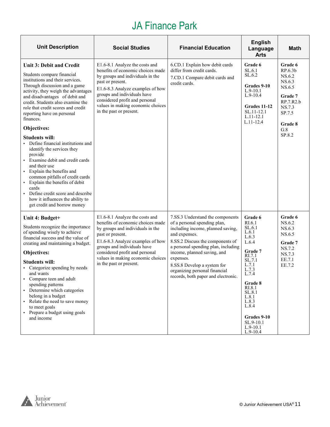# JA Finance Park

| <b>Unit Description</b>                                                                                                                                                                                                                                                                                                                                                                                                                                                                                                                                                     | <b>Social Studies</b>                                                                                                                                                                                                                                                                            | <b>Financial Education</b>                                                                                                                                                                                                                                                                                                                           | <b>English</b><br>Language<br><b>Arts</b>                                                                                                                                                 | <b>Math</b>                                                                                                                          |
|-----------------------------------------------------------------------------------------------------------------------------------------------------------------------------------------------------------------------------------------------------------------------------------------------------------------------------------------------------------------------------------------------------------------------------------------------------------------------------------------------------------------------------------------------------------------------------|--------------------------------------------------------------------------------------------------------------------------------------------------------------------------------------------------------------------------------------------------------------------------------------------------|------------------------------------------------------------------------------------------------------------------------------------------------------------------------------------------------------------------------------------------------------------------------------------------------------------------------------------------------------|-------------------------------------------------------------------------------------------------------------------------------------------------------------------------------------------|--------------------------------------------------------------------------------------------------------------------------------------|
| <b>Unit 3: Debit and Credit</b><br>Students compare financial<br>institutions and their services.<br>Through discussion and a game<br>activity, they weigh the advantages<br>and disadvantages of debit and<br>credit. Students also examine the<br>role that credit scores and credit<br>reporting have on personal<br>finances.<br>Objectives:<br><b>Students will:</b><br>Define financial institutions and<br>identify the services they<br>provide<br>Examine debit and credit cards<br>and their use<br>• Explain the benefits and<br>common pitfalls of credit cards | E1.6-8.1 Analyze the costs and<br>benefits of economic choices made<br>by groups and individuals in the<br>past or present.<br>E1.6-8.3 Analyze examples of how<br>groups and individuals have<br>considered profit and personal<br>values in making economic choices<br>in the past or present. | 6.CD.1 Explain how debit cards<br>differ from credit cards.<br>7.CD.1 Compare debit cards and<br>credit cards.                                                                                                                                                                                                                                       | Grade 6<br>SL.6.1<br>SL.6.2<br>Grades 9-10<br>$L.9-10.1$<br>$L.9-10.4$<br>Grades 11-12<br>SL.11-12.1<br>$L.11 - 12.1$<br>$L.11-12.4$                                                      | Grade 6<br>RP.6.3 <sub>b</sub><br>NS.6.2<br>NS.6.3<br>NS.6.5<br>Grade 7<br>RP.7.R2.b<br>NS.7.3<br>SP.7.5<br>Grade 8<br>G.8<br>SP.8.2 |
| Explain the benefits of debit<br>$\blacksquare$<br>cards<br>Define credit score and describe<br>how it influences the ability to<br>get credit and borrow money                                                                                                                                                                                                                                                                                                                                                                                                             |                                                                                                                                                                                                                                                                                                  |                                                                                                                                                                                                                                                                                                                                                      |                                                                                                                                                                                           |                                                                                                                                      |
| Unit 4: Budget+<br>Students recognize the importance<br>of spending wisely to achieve<br>financial success and the value of<br>creating and maintaining a budget.<br>Objectives:<br><b>Students will:</b><br>Categorize spending by needs<br>and wants<br>• Compare teen and adult<br>spending patterns<br>• Determine which categories<br>belong in a budget<br>• Relate the need to save money<br>to meet goals<br>Prepare a budget using goals<br>and income                                                                                                             | E1.6-8.1 Analyze the costs and<br>benefits of economic choices made<br>by groups and individuals in the<br>past or present.<br>E1.6-8.3 Analyze examples of how<br>groups and individuals have<br>considered profit and personal<br>values in making economic choices<br>in the past or present. | 7.SS.3 Understand the components<br>of a personal spending plan,<br>including income, planned saving,<br>and expenses.<br>8.SS.2 Discuss the components of<br>a personal spending plan, including<br>income, planned saving, and<br>expenses.<br>8.SS.8 Develop a system for<br>organizing personal financial<br>records, both paper and electronic. | Grade 6<br>RI.6.1<br>SL.6.1<br>L.6.1<br>L.6.3<br>L.6.4<br>Grade 7<br>RI.7.1<br>SL.7.1<br>L.7.1<br>L.7.3<br>L.7.4<br>Grade 8<br>RI.8.1<br>SL.8.1<br>L.8.1<br>L.8.3<br>L.8.4<br>Grades 9-10 | Grade 6<br>NS.6.2<br>NS.6.3<br>NS.6.5<br>Grade 7<br>NS.7.2<br>NS.7.3<br>EE.7.1<br>EE.7.2                                             |
|                                                                                                                                                                                                                                                                                                                                                                                                                                                                                                                                                                             |                                                                                                                                                                                                                                                                                                  |                                                                                                                                                                                                                                                                                                                                                      | $SL.9-10.1$<br>$L.9-10.1$<br>$L.9-10.4$                                                                                                                                                   |                                                                                                                                      |

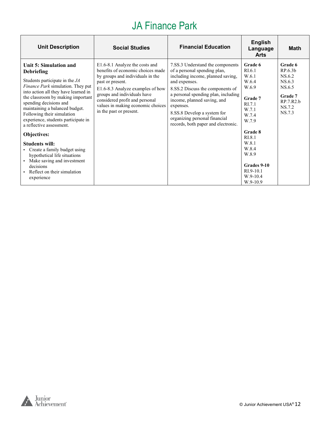# JA Finance Park

| <b>Unit Description</b>                                                                                                                                                                                                                                                                                                                                      | <b>Social Studies</b>                                                                                                                                                                                                                                                                            | <b>Financial Education</b>                                                                                                                                                                                                                                                                                                                           | <b>English</b><br>Language<br><b>Arts</b>                                                                | <b>Math</b>                                                                                  |
|--------------------------------------------------------------------------------------------------------------------------------------------------------------------------------------------------------------------------------------------------------------------------------------------------------------------------------------------------------------|--------------------------------------------------------------------------------------------------------------------------------------------------------------------------------------------------------------------------------------------------------------------------------------------------|------------------------------------------------------------------------------------------------------------------------------------------------------------------------------------------------------------------------------------------------------------------------------------------------------------------------------------------------------|----------------------------------------------------------------------------------------------------------|----------------------------------------------------------------------------------------------|
| Unit 5: Simulation and<br>Debriefing<br>Students participate in the JA<br><i>Finance Park</i> simulation. They put<br>into action all they have learned in<br>the classroom by making important<br>spending decisions and<br>maintaining a balanced budget.<br>Following their simulation<br>experience, students participate in<br>a reflective assessment. | E1.6-8.1 Analyze the costs and<br>benefits of economic choices made<br>by groups and individuals in the<br>past or present.<br>E1.6-8.3 Analyze examples of how<br>groups and individuals have<br>considered profit and personal<br>values in making economic choices<br>in the past or present. | 7.SS.3 Understand the components<br>of a personal spending plan,<br>including income, planned saving,<br>and expenses.<br>8.SS.2 Discuss the components of<br>a personal spending plan, including<br>income, planned saving, and<br>expenses.<br>8.SS.8 Develop a system for<br>organizing personal financial<br>records, both paper and electronic. | Grade 6<br>R <sub>I.6.1</sub><br>W.6.1<br>W.6.4<br>W.6.9<br>Grade 7<br>RI.7.1<br>W.7.1<br>W.7.4<br>W.7.9 | Grade 6<br>RP.6.3b<br>NS.6.2<br>NS.6.3<br>NS.6.5<br>Grade 7<br>RP.7.R2.b<br>NS.7.2<br>NS.7.3 |
| Objectives:<br><b>Students will:</b><br>• Create a family budget using<br>hypothetical life situations<br>• Make saving and investment<br>decisions<br>• Reflect on their simulation<br>experience                                                                                                                                                           |                                                                                                                                                                                                                                                                                                  |                                                                                                                                                                                                                                                                                                                                                      | Grade 8<br>RI.8.1<br>W.8.1<br>W.8.4<br>W.8.9<br>Grades 9-10<br>$RI.9-10.1$<br>$W.9-10.4$<br>W.9-10.9     |                                                                                              |

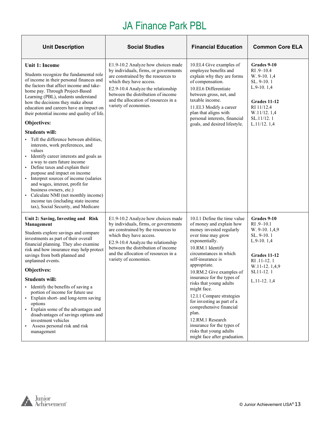# JA Finance Park PBL

| <b>Unit Description</b>                                                                                                                                                                                                                                                                                                                                                                                                                                                                                                                                                                                 | <b>Social Studies</b>                                                                                                                                                                                                                                                                      | <b>Financial Education</b>                                                                                                                                                                                                                                                                                                                                                                                                                                                                                                      | <b>Common Core ELA</b>                                                                                                                                  |
|---------------------------------------------------------------------------------------------------------------------------------------------------------------------------------------------------------------------------------------------------------------------------------------------------------------------------------------------------------------------------------------------------------------------------------------------------------------------------------------------------------------------------------------------------------------------------------------------------------|--------------------------------------------------------------------------------------------------------------------------------------------------------------------------------------------------------------------------------------------------------------------------------------------|---------------------------------------------------------------------------------------------------------------------------------------------------------------------------------------------------------------------------------------------------------------------------------------------------------------------------------------------------------------------------------------------------------------------------------------------------------------------------------------------------------------------------------|---------------------------------------------------------------------------------------------------------------------------------------------------------|
| Unit 1: Income<br>Students recognize the fundamental role<br>of income in their personal finances and<br>the factors that affect income and take-<br>home pay. Through Project-Based<br>Learning (PBL), students understand<br>how the decisions they make about<br>education and careers have an impact on<br>their potential income and quality of life.<br>Objectives:                                                                                                                                                                                                                               | E1.9-10.2 Analyze how choices made<br>by individuals, firms, or governments<br>are constrained by the resources to<br>which they have access.<br>E2.9-10.4 Analyze the relationship<br>between the distribution of income<br>and the allocation of resources in a<br>variety of economies. | 10.EI.4 Give examples of<br>employee benefits and<br>explain why they are forms<br>of compensation.<br>10.EI.6 Differentiate<br>between gross, net, and<br>taxable income.<br>11.EI.3 Modify a career<br>plan that aligns with<br>personal interests, financial<br>goals, and desired lifestyle.                                                                                                                                                                                                                                | Grades 9-10<br>$RI.9 - 10.4$<br>W. 9-10. 1,4<br>SL. 9-10.1<br>$L.9-10.1,4$<br>Grades 11-12<br>RI 11/12.4<br>W.11/12.1,4<br>SL.11/12.1<br>L.11/12.1,4    |
| <b>Students will:</b><br>Tell the difference between abilities,<br>interests, work preferences, and<br>values<br>Identify career interests and goals as<br>a way to earn future income<br>• Define taxes and explain their<br>purpose and impact on income<br>• Interpret sources of income (salaries<br>and wages, interest, profit for<br>business owners, etc.)<br>Calculate NMI (net monthly income)<br>income tax (including state income<br>tax), Social Security, and Medicare                                                                                                                   |                                                                                                                                                                                                                                                                                            |                                                                                                                                                                                                                                                                                                                                                                                                                                                                                                                                 |                                                                                                                                                         |
| Unit 2: Saving, Investing and Risk<br>Management<br>Students explore savings and compare<br>investments as part of their overall<br>financial planning. They also examine<br>risk and how insurance may help protect<br>savings from both planned and<br>unplanned events.<br>Objectives:<br><b>Students will:</b><br>• Identify the benefits of saving a<br>portion of income for future use<br>• Explain short- and long-term saving<br>options<br>• Explain some of the advantages and<br>disadvantages of savings options and<br>investment vehicles<br>Assess personal risk and risk<br>management | E1.9-10.2 Analyze how choices made<br>by individuals, firms, or governments<br>are constrained by the resources to<br>which they have access.<br>E2.9-10.4 Analyze the relationship<br>between the distribution of income<br>and the allocation of resources in a<br>variety of economies. | 10.I.1 Define the time value<br>of money and explain how<br>money invested regularly<br>over time may grow<br>exponentially.<br>10.RM.1 Identify<br>circumstances in which<br>self-insurance is<br>appropriate.<br>10.RM.2 Give examples of<br>insurance for the types of<br>risks that young adults<br>might face.<br>12.I.1 Compare strategies<br>for investing as part of a<br>comprehensive financial<br>plan.<br>12.RM.1 Research<br>insurance for the types of<br>risks that young adults<br>might face after graduation. | Grades 9-10<br>RI .9-10.1<br>W. 9-10. 1,4,9<br>SL. 9-10.1<br>$L.9-10.1,4$<br>Grades 11-12<br>RI .11-12.1<br>W.11-12.1,4,9<br>SL11-12.1<br>$L.11-12.1,4$ |

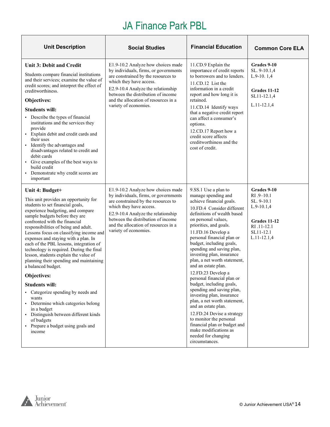# JA Finance Park PBL

| <b>Unit Description</b>                                                                                                                                                                                                                                                                                                                                                                                                                                                                                                                                                                                                                                                                                                                                                              | <b>Social Studies</b>                                                                                                                                                                                                                                                                      |                                                                                                                                                                                                                                                                                                                                                                                                                                                                                                                                                                                                                                                                                                                                                    | <b>Common Core ELA</b>                                                                                                 |
|--------------------------------------------------------------------------------------------------------------------------------------------------------------------------------------------------------------------------------------------------------------------------------------------------------------------------------------------------------------------------------------------------------------------------------------------------------------------------------------------------------------------------------------------------------------------------------------------------------------------------------------------------------------------------------------------------------------------------------------------------------------------------------------|--------------------------------------------------------------------------------------------------------------------------------------------------------------------------------------------------------------------------------------------------------------------------------------------|----------------------------------------------------------------------------------------------------------------------------------------------------------------------------------------------------------------------------------------------------------------------------------------------------------------------------------------------------------------------------------------------------------------------------------------------------------------------------------------------------------------------------------------------------------------------------------------------------------------------------------------------------------------------------------------------------------------------------------------------------|------------------------------------------------------------------------------------------------------------------------|
| <b>Unit 3: Debit and Credit</b><br>Students compare financial institutions<br>and their services; examine the value of<br>credit scores; and interpret the effect of<br>creditworthiness.<br>Objectives:<br><b>Students will:</b><br>• Describe the types of financial<br>institutions and the services they<br>provide<br>· Explain debit and credit cards and<br>their uses<br>· Identify the advantages and<br>disadvantages related to credit and<br>debit cards<br>• Give examples of the best ways to<br>build credit<br>• Demonstrate why credit scores are<br>important                                                                                                                                                                                                      | E1.9-10.2 Analyze how choices made<br>by individuals, firms, or governments<br>are constrained by the resources to<br>which they have access.<br>E2.9-10.4 Analyze the relationship<br>between the distribution of income<br>and the allocation of resources in a<br>variety of economies. | 11.CD.9 Explain the<br>importance of credit reports<br>to borrowers and to lenders.<br>11.CD.12 List the<br>information in a credit<br>report and how long it is<br>retained.<br>11.CD.14 Identify ways<br>that a negative credit report<br>can affect a consumer's<br>options.<br>12.CD.17 Report how a<br>credit score affects<br>creditworthiness and the<br>cost of credit.                                                                                                                                                                                                                                                                                                                                                                    | Grades 9-10<br>SL. 9-10.1,4<br>$L.9-10.1,4$<br>Grades 11-12<br>SL11-12.1,4<br>$L.11 - 12.1,4$                          |
| Unit 4: Budget+<br>This unit provides an opportunity for<br>students to set financial goals,<br>experience budgeting, and compare<br>sample budgets before they are<br>confronted with the financial<br>responsibilities of being and adult.<br>Lessons focus on classifying income and<br>expenses and staying with a plan. In<br>each of the PBL lessons, integration of<br>technology is required. During the final<br>lesson, students explain the value of<br>planning their spending and maintaining<br>a balanced budget.<br>Objectives:<br><b>Students will:</b><br>• Categorize spending by needs and<br>wants<br>• Determine which categories belong<br>in a budget<br>· Distinguish between different kinds<br>of budgets<br>• Prepare a budget using goals and<br>income | E1.9-10.2 Analyze how choices made<br>by individuals, firms, or governments<br>are constrained by the resources to<br>which they have access.<br>E2.9-10.4 Analyze the relationship<br>between the distribution of income<br>and the allocation of resources in a<br>variety of economies. | 9.SS.1 Use a plan to<br>manage spending and<br>achieve financial goals.<br>10.FD.4 Consider different<br>definitions of wealth based<br>on personal values,<br>priorities, and goals.<br>11.FD.16 Develop a<br>personal financial plan or<br>budget, including goals,<br>spending and saving plan,<br>investing plan, insurance<br>plan, a net worth statement,<br>and an estate plan.<br>12.FD.23 Develop a<br>personal financial plan or<br>budget, including goals,<br>spending and saving plan,<br>investing plan, insurance<br>plan, a net worth statement,<br>and an estate plan.<br>12.FD.24 Devise a strategy<br>to monitor the personal<br>financial plan or budget and<br>make modifications as<br>needed for changing<br>circumstances. | Grades 9-10<br>RI .9-10.1<br>SL. 9-10.1<br>$L.9-10.1,4$<br>Grades 11-12<br>RI .11-12.1<br>SL11-12.1<br>$L.11 - 12.1,4$ |

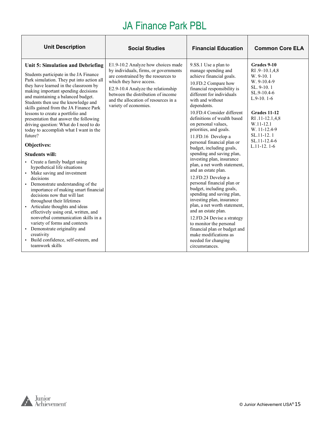# JA Finance Park PBL

| <b>Unit Description</b>                                                                                                                                                                                                                                                                                                                                                                                                                                                                                              | <b>Social Studies</b>                                                                                                                                                                                                                                                                      | <b>Financial Education</b>                                                                                                                                                                                                                                                                                                                                                                                                                   | <b>Common Core ELA</b>                                                                                   |
|----------------------------------------------------------------------------------------------------------------------------------------------------------------------------------------------------------------------------------------------------------------------------------------------------------------------------------------------------------------------------------------------------------------------------------------------------------------------------------------------------------------------|--------------------------------------------------------------------------------------------------------------------------------------------------------------------------------------------------------------------------------------------------------------------------------------------|----------------------------------------------------------------------------------------------------------------------------------------------------------------------------------------------------------------------------------------------------------------------------------------------------------------------------------------------------------------------------------------------------------------------------------------------|----------------------------------------------------------------------------------------------------------|
| Unit 5: Simulation and Debriefing<br>Students participate in the JA Finance<br>Park simulation. They put into action all<br>they have learned in the classroom by<br>making important spending decisions<br>and maintaining a balanced budget.<br>Students then use the knowledge and<br>skills gained from the JA Finance Park                                                                                                                                                                                      | E1.9-10.2 Analyze how choices made<br>by individuals, firms, or governments<br>are constrained by the resources to<br>which they have access.<br>E2.9-10.4 Analyze the relationship<br>between the distribution of income<br>and the allocation of resources in a<br>variety of economies. | 9.SS.1 Use a plan to<br>manage spending and<br>achieve financial goals.<br>10.FD.2 Compare how<br>financial responsibility is<br>different for individuals<br>with and without<br>dependents.                                                                                                                                                                                                                                                | Grades 9-10<br>RI .9-10.1,4,8<br>W. 9-10.1<br>$W. 9-10.4-9$<br>SL. 9-10.1<br>SL.9-10.4-6<br>$L.9-10.1-6$ |
| lessons to create a portfolio and<br>presentation that answer the following<br>driving question: What do I need to do<br>today to accomplish what I want in the<br>future?                                                                                                                                                                                                                                                                                                                                           |                                                                                                                                                                                                                                                                                            | 10.FD.4 Consider different<br>definitions of wealth based<br>on personal values,<br>priorities, and goals.<br>11.FD.16 Develop a                                                                                                                                                                                                                                                                                                             | Grades 11-12<br>RI .11-12.1,4,8<br>W.11-12.1<br>W. 11-12.4-9<br>SL.11-12.1<br>$SL.11 - 12.4 - 6$         |
| Objectives:<br><b>Students will:</b>                                                                                                                                                                                                                                                                                                                                                                                                                                                                                 |                                                                                                                                                                                                                                                                                            | personal financial plan or<br>budget, including goals,<br>spending and saving plan,                                                                                                                                                                                                                                                                                                                                                          | $L.11-12.1-6$                                                                                            |
| • Create a family budget using<br>hypothetical life situations<br>• Make saving and investment<br>decisions<br>• Demonstrate understanding of the<br>importance of making smart financial<br>decisions now that will last<br>throughout their lifetimes<br>• Articulate thoughts and ideas<br>effectively using oral, written, and<br>nonverbal communication skills in a<br>variety of forms and contexts<br>• Demonstrate originality and<br>creativity<br>· Build confidence, self-esteem, and<br>teamwork skills |                                                                                                                                                                                                                                                                                            | investing plan, insurance<br>plan, a net worth statement,<br>and an estate plan.<br>12.FD.23 Develop a<br>personal financial plan or<br>budget, including goals,<br>spending and saving plan,<br>investing plan, insurance<br>plan, a net worth statement,<br>and an estate plan.<br>12.FD.24 Devise a strategy<br>to monitor the personal<br>financial plan or budget and<br>make modifications as<br>needed for changing<br>circumstances. |                                                                                                          |

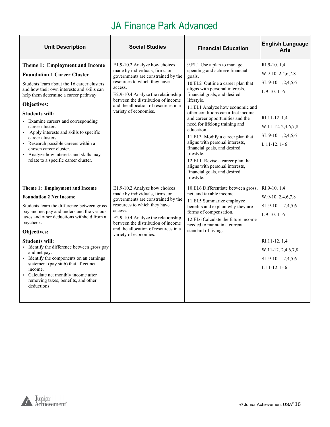| <b>Unit Description</b>                                                                                                                                                                                                                                                                                                                                                                                                                                                                                                          | <b>Social Studies</b>                                                                                                                                                                                                                                                                         | <b>Financial Education</b>                                                                                                                                                                                                                                                                                                                                                                                                                                                                                                                                                                               | <b>English Language</b><br><b>Arts</b>                                                                                                                |
|----------------------------------------------------------------------------------------------------------------------------------------------------------------------------------------------------------------------------------------------------------------------------------------------------------------------------------------------------------------------------------------------------------------------------------------------------------------------------------------------------------------------------------|-----------------------------------------------------------------------------------------------------------------------------------------------------------------------------------------------------------------------------------------------------------------------------------------------|----------------------------------------------------------------------------------------------------------------------------------------------------------------------------------------------------------------------------------------------------------------------------------------------------------------------------------------------------------------------------------------------------------------------------------------------------------------------------------------------------------------------------------------------------------------------------------------------------------|-------------------------------------------------------------------------------------------------------------------------------------------------------|
| Theme 1: Employment and Income<br><b>Foundation 1 Career Cluster</b><br>Students learn about the 16 career clusters<br>and how their own interests and skills can<br>help them determine a career pathway<br>Objectives:<br><b>Students will:</b><br>• Examine careers and corresponding<br>career clusters.<br>• Apply interests and skills to specific<br>career clusters.<br>• Research possible careers within a<br>chosen career cluster.<br>• Analyze how interests and skills may<br>relate to a specific career cluster. | E1.9-10.2 Analyze how choices<br>made by individuals, firms, or<br>governments are constrained by the<br>resources to which they have<br>access.<br>E2.9-10.4 Analyze the relationship<br>between the distribution of income<br>and the allocation of resources in a<br>variety of economies. | 9.EI.1 Use a plan to manage<br>spending and achieve financial<br>goals.<br>10.EI.2 Outline a career plan that<br>aligns with personal interests,<br>financial goals, and desired<br>lifestyle.<br>11.EI.1 Analyze how economic and<br>other conditions can affect income<br>and career opportunities and the<br>need for lifelong training and<br>education.<br>11.EI.3 Modify a career plan that<br>aligns with personal interests,<br>financial goals, and desired<br>lifestyle.<br>12.EI.1 Revise a career plan that<br>aligns with personal interests,<br>financial goals, and desired<br>lifestyle. | RI.9-10.1.4<br>W.9-10.2,4,6,7,8<br>SL 9-10.1,2,4,5,6<br>$L$ 9-10. 1-6<br>RI.11-12.1,4<br>W.11-12.2,4,6,7,8<br>SL 9-10. 1,2,4,5,6<br>$L$ 11-12. 1-6    |
| Theme 1: Employment and Income<br><b>Foundation 2 Net Income</b><br>Students learn the difference between gross<br>pay and net pay and understand the various<br>taxes and other deductions withheld from a<br>paycheck.<br>Objectives:<br><b>Students will:</b><br>· Identify the difference between gross pay<br>and net pay.<br>• Identify the components on an earnings<br>statement (pay stub) that affect net<br>income.<br>• Calculate net monthly income after<br>removing taxes, benefits, and other<br>deductions.     | E1.9-10.2 Analyze how choices<br>made by individuals, firms, or<br>governments are constrained by the<br>resources to which they have<br>access.<br>E2.9-10.4 Analyze the relationship<br>between the distribution of income<br>and the allocation of resources in a<br>variety of economies. | 10.EI.6 Differentiate between gross,<br>net, and taxable income.<br>11.EI.5 Summarize employee<br>benefits and explain why they are<br>forms of compensation.<br>12.EI.6 Calculate the future income<br>needed to maintain a current<br>standard of living.                                                                                                                                                                                                                                                                                                                                              | RI.9-10.1,4<br>W.9-10.2,4,6,7,8<br>SL 9-10. 1,2,4,5,6<br>$L$ 9-10. 1-6<br>RI.11-12.1,4<br>$W.11-12.2,4,6,7,8$<br>SL 9-10. 1,2,4,5,6<br>$L$ 11-12. 1-6 |

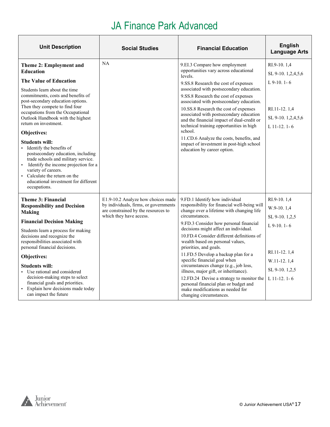| <b>Unit Description</b>                                                                                                                                                                                                                                                                                                                                                                                                                                                                            | <b>Social Studies</b>                                                        | <b>Financial Education</b>                                                                                                                                                                                                                                                                                                                                                                                                                   | <b>English</b><br><b>Language Arts</b>               |
|----------------------------------------------------------------------------------------------------------------------------------------------------------------------------------------------------------------------------------------------------------------------------------------------------------------------------------------------------------------------------------------------------------------------------------------------------------------------------------------------------|------------------------------------------------------------------------------|----------------------------------------------------------------------------------------------------------------------------------------------------------------------------------------------------------------------------------------------------------------------------------------------------------------------------------------------------------------------------------------------------------------------------------------------|------------------------------------------------------|
| Theme 2: Employment and<br><b>Education</b>                                                                                                                                                                                                                                                                                                                                                                                                                                                        | NA                                                                           | 9.EI.3 Compare how employment<br>opportunities vary across educational<br>levels.                                                                                                                                                                                                                                                                                                                                                            | RI.9-10, 1.4<br>SL 9-10.1,2,4,5,6                    |
| The Value of Education                                                                                                                                                                                                                                                                                                                                                                                                                                                                             |                                                                              | 9.SS.8 Research the cost of expenses                                                                                                                                                                                                                                                                                                                                                                                                         | $L$ 9-10, 1-6                                        |
| Students learn about the time<br>commitments, costs and benefits of<br>post-secondary education options.<br>Then they compete to find four<br>occupations from the Occupational<br>Outlook Handbook with the highest<br>return on investment.<br>Objectives:<br><b>Students will:</b><br>· Identify the benefits of<br>postsecondary education, including<br>trade schools and military service.<br>• Identify the income projection for a<br>variety of careers.<br>• Calculate the return on the |                                                                              | associated with postsecondary education.<br>9.SS.8 Research the cost of expenses<br>associated with postsecondary education.<br>10.SS.8 Research the cost of expenses<br>associated with postsecondary education<br>and the financial impact of dual-credit or<br>technical training opportunities in high<br>school.<br>11.CD.6 Analyze the costs, benefits, and<br>impact of investment in post-high school<br>education by career option. | RI.11-12.1,4<br>SL 9-10. 1,2,4,5,6<br>$L$ 11-12. 1-6 |
| educational investment for different<br>occupations.                                                                                                                                                                                                                                                                                                                                                                                                                                               |                                                                              |                                                                                                                                                                                                                                                                                                                                                                                                                                              |                                                      |
| Theme 3: Financial                                                                                                                                                                                                                                                                                                                                                                                                                                                                                 | E1.9-10.2 Analyze how choices made                                           | 9.FD.1 Identify how individual                                                                                                                                                                                                                                                                                                                                                                                                               | RI.9-10.1,4                                          |
| <b>Responsibility and Decision</b><br><b>Making</b>                                                                                                                                                                                                                                                                                                                                                                                                                                                | by individuals, firms, or governments<br>are constrained by the resources to | responsibility for financial well-being will<br>change over a lifetime with changing life                                                                                                                                                                                                                                                                                                                                                    | W.9-10.1,4                                           |
| <b>Financial Decision Making</b>                                                                                                                                                                                                                                                                                                                                                                                                                                                                   | which they have access.                                                      | circumstances.                                                                                                                                                                                                                                                                                                                                                                                                                               | SL 9-10.1,2,5                                        |
| Students learn a process for making                                                                                                                                                                                                                                                                                                                                                                                                                                                                |                                                                              | 9.FD.3 Consider how personal financial<br>decisions might affect an individual.                                                                                                                                                                                                                                                                                                                                                              | $L$ 9-10, 1-6                                        |
| decisions and recognize the<br>responsibilities associated with<br>personal financial decisions.                                                                                                                                                                                                                                                                                                                                                                                                   |                                                                              | 10.FD.4 Consider different definitions of<br>wealth based on personal values,<br>priorities, and goals.                                                                                                                                                                                                                                                                                                                                      |                                                      |
| Objectives:                                                                                                                                                                                                                                                                                                                                                                                                                                                                                        |                                                                              | 11.FD.5 Develop a backup plan for a<br>specific financial goal when                                                                                                                                                                                                                                                                                                                                                                          | RI.11-12.1,4                                         |
| <b>Students will:</b><br>• Use rational and considered<br>decision-making steps to select<br>financial goals and priorities.<br>· Explain how decisions made today<br>can impact the future                                                                                                                                                                                                                                                                                                        |                                                                              | circumstances change (e.g., job loss,<br>illness, major gift, or inheritance).<br>12.FD.24 Devise a strategy to monitor the<br>personal financial plan or budget and<br>make modifications as needed for<br>changing circumstances.                                                                                                                                                                                                          | W.11-12.1,4<br>SL 9-10.1,2,5<br>$L$ 11-12, 1-6       |

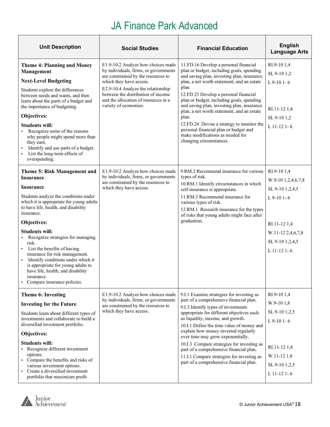| <b>Unit Description</b>                                                                                                                                                                                                                                                                                                                                                                                                                                                                                                                             | <b>Social Studies</b>                                                                                                                                                                                                                                                                      | <b>Financial Education</b>                                                                                                                                                                                                                                                                                                                                                                                                                                                                                                              | <b>English</b><br><b>Language Arts</b>                                                                                                       |
|-----------------------------------------------------------------------------------------------------------------------------------------------------------------------------------------------------------------------------------------------------------------------------------------------------------------------------------------------------------------------------------------------------------------------------------------------------------------------------------------------------------------------------------------------------|--------------------------------------------------------------------------------------------------------------------------------------------------------------------------------------------------------------------------------------------------------------------------------------------|-----------------------------------------------------------------------------------------------------------------------------------------------------------------------------------------------------------------------------------------------------------------------------------------------------------------------------------------------------------------------------------------------------------------------------------------------------------------------------------------------------------------------------------------|----------------------------------------------------------------------------------------------------------------------------------------------|
| <b>Theme 4: Planning and Money</b><br>Management<br><b>Next-Level Budgeting</b><br>Students explore the differences<br>between needs and wants, and then<br>learn about the parts of a budget and<br>the importance of budgeting.<br>Objectives:<br><b>Students will:</b><br>Recognize some of the reasons<br>a.<br>why people might spend more than<br>they earn.<br>Identify and use parts of a budget.<br>List the long-term effects of<br>overspending.                                                                                         | E1.9-10.2 Analyze how choices made<br>by individuals, firms, or governments<br>are constrained by the resources to<br>which they have access.<br>E2.9-10.4 Analyze the relationship<br>between the distribution of income<br>and the allocation of resources in a<br>variety of economies. | 11.FD.16 Develop a personal financial<br>plan or budget, including goals, spending<br>and saving plan, investing plan, insurance<br>plan, a net worth statement, and an estate<br>plan.<br>12.FD.23 Develop a personal financial<br>plan or budget, including goals, spending<br>and saving plan, investing plan, insurance<br>plan, a net worth statement, and an estate<br>plan.<br>12.FD.24 Devise a strategy to monitor the<br>personal financial plan or budget and<br>make modifications as needed for<br>changing circumstances. | RI.9-10 1,4<br>SL 9-10 1,2<br>$L$ 9-10 1-6<br>RI.11-12 1,4<br>SL 9-10 1,2<br>$L$ 11-12 1-6                                                   |
| Theme 5: Risk Management and<br><b>Insurance</b><br>Insurance<br>Students analyze the conditions under<br>which it is appropriate for young adults<br>to have life, health, and disability<br>insurance.<br>Objectives:<br><b>Students will:</b><br>Recognize strategies for managing<br>risk.<br>• List the benefits of having<br>insurance for risk management.<br>Identify conditions under which it<br>$\blacksquare$<br>is appropriate for young adults to<br>have life, health, and disability<br>insurance.<br>• Compare insurance policies. | E1.9-10.2 Analyze how choices made<br>by individuals, firms, or governments<br>are constrained by the resources to<br>which they have access.                                                                                                                                              | 9.RM.2 Recommend insurance for various<br>types of risk.<br>10.RM.1 Identify circumstances in which<br>self-insurance is appropriate.<br>11.RM.3 Recommend insurance for<br>various types of risk.<br>12.RM.1 Research insurance for the types<br>of risks that young adults might face after<br>graduation.                                                                                                                                                                                                                            | RI.9-101,4<br>W.9-10 1,2,4,6,7,8<br>SL 9-10 1,2,4,5<br>$L$ 9-10 1-6<br>RI.11-12 1,4<br>W.11-12 2,4,6,7,8<br>SL 9-10 1,2,4,5<br>$L$ 11-12 1-6 |
| Theme 6: Investing<br><b>Investing for the Future</b><br>Students learn about different types of<br>investments and collaborate to build a<br>diversified investment portfolio.<br>Objectives:<br><b>Students will:</b><br>• Recognize different investment<br>options.<br>• Compare the benefits and risks of<br>various investment options.<br>• Create a diversified investment<br>portfolio that maximizes profit                                                                                                                               | E1.9-10.2 Analyze how choices made<br>by individuals, firms, or governments<br>are constrained by the resources to<br>which they have access.                                                                                                                                              | 9.I.1 Examine strategies for investing as<br>part of a comprehensive financial plan.<br>9.I.3 Identify types of investments<br>appropriate for different objectives such<br>as liquidity, income, and growth.<br>10.I.1 Define the time value of money and<br>explain how money invested regularly<br>over time may grow exponentially.<br>10.I.3 Compare strategies for investing as<br>part of a comprehensive financial plan.<br>11.I.1 Compare strategies for investing as<br>part of a comprehensive financial plan.               | RI.9-10 1,4<br>W.9-10 1,8<br>SL 9-10 1,2,5<br>$L$ 9-10 1-6<br>RI.11-12 1,4<br>W.11-12 1,8<br>SL 9-10 1,2,5<br>$L$ 11-12 1-6                  |

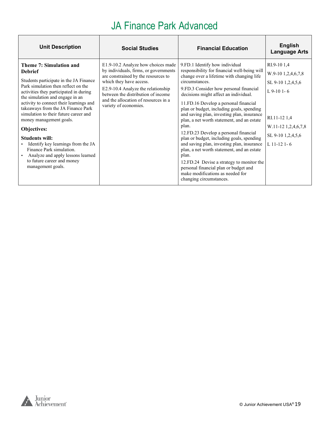| <b>Unit Description</b>                                                                                                                                                                                                                                                                                                                                                                                                                                                                                                                                        | <b>Social Studies</b>                                                                                                                                                                                                                                                                      | <b>Financial Education</b>                                                                                                                                                                                                                                                                                                                                                                                                                                                                                                                                                                                                                                                                                                                                                  | <b>English</b><br><b>Language Arts</b>                                                                                                            |
|----------------------------------------------------------------------------------------------------------------------------------------------------------------------------------------------------------------------------------------------------------------------------------------------------------------------------------------------------------------------------------------------------------------------------------------------------------------------------------------------------------------------------------------------------------------|--------------------------------------------------------------------------------------------------------------------------------------------------------------------------------------------------------------------------------------------------------------------------------------------|-----------------------------------------------------------------------------------------------------------------------------------------------------------------------------------------------------------------------------------------------------------------------------------------------------------------------------------------------------------------------------------------------------------------------------------------------------------------------------------------------------------------------------------------------------------------------------------------------------------------------------------------------------------------------------------------------------------------------------------------------------------------------------|---------------------------------------------------------------------------------------------------------------------------------------------------|
| Theme 7: Simulation and<br><b>Debrief</b><br>Students participate in the JA Finance<br>Park simulation then reflect on the<br>activities they participated in during<br>the simulation and engage in an<br>activity to connect their learnings and<br>takeaways from the JA Finance Park<br>simulation to their future career and<br>money management goals.<br>Objectives:<br><b>Students will:</b><br>Identify key learnings from the JA<br>Finance Park simulation.<br>Analyze and apply lessons learned<br>to future career and money<br>management goals. | E1.9-10.2 Analyze how choices made<br>by individuals, firms, or governments<br>are constrained by the resources to<br>which they have access.<br>E2.9-10.4 Analyze the relationship<br>between the distribution of income<br>and the allocation of resources in a<br>variety of economies. | 9.FD.1 Identify how individual<br>responsibility for financial well-being will<br>change over a lifetime with changing life<br>circumstances.<br>9.FD.3 Consider how personal financial<br>decisions might affect an individual.<br>11.FD.16 Develop a personal financial<br>plan or budget, including goals, spending<br>and saving plan, investing plan, insurance<br>plan, a net worth statement, and an estate<br>plan.<br>12.FD.23 Develop a personal financial<br>plan or budget, including goals, spending<br>and saving plan, investing plan, insurance<br>plan, a net worth statement, and an estate<br>plan.<br>12.FD.24 Devise a strategy to monitor the<br>personal financial plan or budget and<br>make modifications as needed for<br>changing circumstances. | RI.9-10 1,4<br>W.9-10 1,2,4,6,7,8<br>SL 9-10 1,2,4,5,6<br>$L$ 9-10 1-6<br>RI.11-12 1,4<br>W.11-12 1,2,4,6,7,8<br>SL 9-10 1,2,4,5,6<br>L 11-12 1-6 |

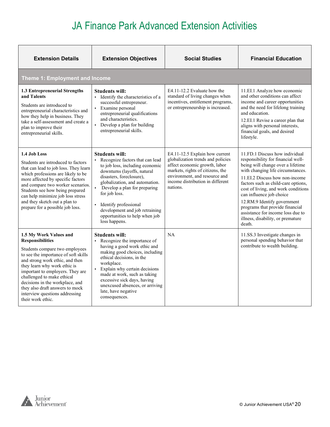| <b>Extension Details</b>                                                                                                                                                                                                                                                                                                                                                                      | <b>Extension Objectives</b>                                                                                                                                                                                                                                                                                                                                               | <b>Social Studies</b>                                                                                                                                                                                                     | <b>Financial Education</b>                                                                                                                                                                                                                                                                                                                                                                                                                       |
|-----------------------------------------------------------------------------------------------------------------------------------------------------------------------------------------------------------------------------------------------------------------------------------------------------------------------------------------------------------------------------------------------|---------------------------------------------------------------------------------------------------------------------------------------------------------------------------------------------------------------------------------------------------------------------------------------------------------------------------------------------------------------------------|---------------------------------------------------------------------------------------------------------------------------------------------------------------------------------------------------------------------------|--------------------------------------------------------------------------------------------------------------------------------------------------------------------------------------------------------------------------------------------------------------------------------------------------------------------------------------------------------------------------------------------------------------------------------------------------|
| <b>Theme 1: Employment and Income</b>                                                                                                                                                                                                                                                                                                                                                         |                                                                                                                                                                                                                                                                                                                                                                           |                                                                                                                                                                                                                           |                                                                                                                                                                                                                                                                                                                                                                                                                                                  |
| 1.3 Entrepreneurial Strengths<br>and Talents<br>Students are introduced to<br>entrepreneurial characteristics and<br>how they help in business. They<br>take a self-assessment and create a<br>plan to improve their<br>entrepreneurial skills.                                                                                                                                               | Students will:<br>Identify the characteristics of a<br>successful entrepreneur.<br>Examine personal<br>entrepreneurial qualifications<br>and characteristics.<br>Develop a plan for building<br>entrepreneurial skills.                                                                                                                                                   | E4.11-12.2 Evaluate how the<br>standard of living changes when<br>incentives, entitlement programs,<br>or entrepreneurship is increased.                                                                                  | 11.EI.1 Analyze how economic<br>and other conditions can affect<br>income and career opportunities<br>and the need for lifelong training<br>and education.<br>12.EI.1 Revise a career plan that<br>aligns with personal interests,<br>financial goals, and desired<br>lifestyle.                                                                                                                                                                 |
| 1.4 Job Loss<br>Students are introduced to factors<br>that can lead to job loss. They learn<br>which professions are likely to be<br>more affected by specific factors<br>and compare two worker scenarios.<br>Students see how being prepared<br>can help minimize job loss stress<br>and they sketch out a plan to<br>prepare for a possible job loss.                                      | <b>Students will:</b><br>Recognize factors that can lead<br>$\blacksquare$<br>to job loss, including economic<br>downturns (layoffs, natural<br>disasters, foreclosure),<br>globalization, and automation.<br>Develop a plan for preparing<br>for job loss.<br>Identify professional<br>development and job retraining<br>opportunities to help when job<br>loss happens. | E4.11-12.5 Explain how current<br>globalization trends and policies<br>affect economic growth, labor<br>markets, rights of citizens, the<br>environment, and resource and<br>income distribution in different<br>nations. | 11.FD.1 Discuss how individual<br>responsibility for financial well-<br>being will change over a lifetime<br>with changing life circumstances.<br>11.EI.2 Discuss how non-income<br>factors such as child-care options,<br>cost of living, and work conditions<br>can influence job choice<br>12.RM.9 Identify government<br>programs that provide financial<br>assistance for income loss due to<br>illness, disability, or premature<br>death. |
| 1.5 My Work Values and<br><b>Responsibilities</b><br>Students compare two employees<br>to see the importance of soft skills<br>and strong work ethic, and then<br>they learn why work ethic is<br>important to employers. They are<br>challenged to make ethical<br>decisions in the workplace, and<br>they also draft answers to mock<br>interview questions addressing<br>their work ethic. | <b>Students will:</b><br>Recognize the importance of<br>having a good work ethic and<br>making good choices, including<br>ethical decisions, in the<br>workplace.<br>Explain why certain decisions<br>made at work, such as taking<br>excessive sick days, having<br>unexcused absences, or arriving<br>late, have negative<br>consequences.                              | NA                                                                                                                                                                                                                        | 11.SS.3 Investigate changes in<br>personal spending behavior that<br>contribute to wealth building.                                                                                                                                                                                                                                                                                                                                              |

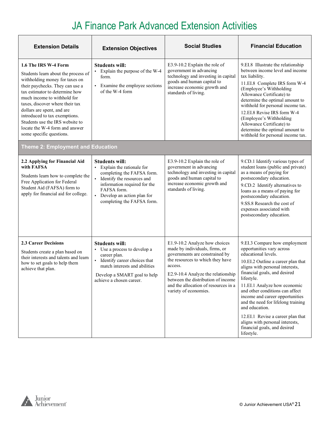| <b>Extension Details</b>                                                                                                                                                                                                                                                                                                                                                                             | <b>Extension Objectives</b>                                                                                                                                                                                                              | <b>Social Studies</b>                                                                                                                                                                                                                                                                         | <b>Financial Education</b>                                                                                                                                                                                                                                                                                                                                                                                                                                                                   |
|------------------------------------------------------------------------------------------------------------------------------------------------------------------------------------------------------------------------------------------------------------------------------------------------------------------------------------------------------------------------------------------------------|------------------------------------------------------------------------------------------------------------------------------------------------------------------------------------------------------------------------------------------|-----------------------------------------------------------------------------------------------------------------------------------------------------------------------------------------------------------------------------------------------------------------------------------------------|----------------------------------------------------------------------------------------------------------------------------------------------------------------------------------------------------------------------------------------------------------------------------------------------------------------------------------------------------------------------------------------------------------------------------------------------------------------------------------------------|
| 1.6 The IRS W-4 Form<br>Students learn about the process of<br>withholding money for taxes on<br>their paychecks. They can use a<br>tax estimator to determine how<br>much income to withhold for<br>taxes, discover where their tax<br>dollars are spent, and are<br>introduced to tax exemptions.<br>Students use the IRS website to<br>locate the W-4 form and answer<br>some specific questions. | <b>Students will:</b><br>Explain the purpose of the W-4<br>form.<br>• Examine the employee sections<br>of the W-4 form                                                                                                                   | E3.9-10.2 Explain the role of<br>government in advancing<br>technology and investing in capital<br>goods and human capital to<br>increase economic growth and<br>standards of living.                                                                                                         | 9.EI.8 Illustrate the relationship<br>between income level and income<br>tax liability.<br>11.EI.8 Complete IRS form W-4<br>(Employee's Withholding<br>Allowance Certificate) to<br>determine the optimal amount to<br>withhold for personal income tax.<br>12.EI.8 Revise IRS form W-4<br>(Employee's Withholding<br>Allowance Certificate) to<br>determine the optimal amount to<br>withhold for personal income tax.                                                                      |
| <b>Theme 2: Employment and Education</b>                                                                                                                                                                                                                                                                                                                                                             |                                                                                                                                                                                                                                          |                                                                                                                                                                                                                                                                                               |                                                                                                                                                                                                                                                                                                                                                                                                                                                                                              |
| 2.2 Applying for Financial Aid<br>with FAFSA<br>Students learn how to complete the<br>Free Application for Federal<br>Student Aid (FAFSA) form to<br>apply for financial aid for college.                                                                                                                                                                                                            | Students will:<br>• Explain the rationale for<br>completing the FAFSA form.<br>· Identify the resources and<br>information required for the<br>FAFSA form.<br>Develop an action plan for<br>$\blacksquare$<br>completing the FAFSA form. | E3.9-10.2 Explain the role of<br>government in advancing<br>technology and investing in capital<br>goods and human capital to<br>increase economic growth and<br>standards of living.                                                                                                         | 9.CD.1 Identify various types of<br>student loans (public and private)<br>as a means of paying for<br>postsecondary education.<br>9.CD.2 Identify alternatives to<br>loans as a means of paying for<br>postsecondary education.<br>9.SS.8 Research the cost of<br>expenses associated with<br>postsecondary education.                                                                                                                                                                       |
| <b>2.3 Career Decisions</b><br>Students create a plan based on<br>their interests and talents and learn<br>how to set goals to help them<br>achieve that plan.                                                                                                                                                                                                                                       | <b>Students will:</b><br>• Use a process to develop a<br>career plan.<br>• Identify career choices that<br>match interests and abilities<br>Develop a SMART goal to help<br>achieve a chosen career.                                     | E1.9-10.2 Analyze how choices<br>made by individuals, firms, or<br>governments are constrained by<br>the resources to which they have<br>access.<br>E2.9-10.4 Analyze the relationship<br>between the distribution of income<br>and the allocation of resources in a<br>variety of economies. | 9.EI.3 Compare how employment<br>opportunities vary across<br>educational levels.<br>10.EI.2 Outline a career plan that<br>aligns with personal interests,<br>financial goals, and desired<br>lifestyle.<br>11.EI.1 Analyze how economic<br>and other conditions can affect<br>income and career opportunities<br>and the need for lifelong training<br>and education.<br>12.EI.1 Revise a career plan that<br>aligns with personal interests,<br>financial goals, and desired<br>lifestyle. |

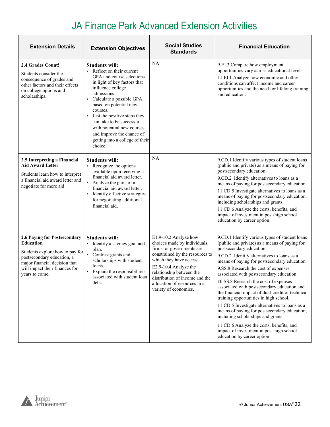| <b>Extension Details</b>                                                                                                                                                                        | <b>Extension Objectives</b>                                                                                                                                                                                                                                                                                                                                                                | <b>Social Studies</b><br><b>Standards</b>                                                                                                                                                                                                                                                        | <b>Financial Education</b>                                                                                                                                                                                                                                                                                                                                                                                                                                                                                                                                                                                                                                                                                                                                         |
|-------------------------------------------------------------------------------------------------------------------------------------------------------------------------------------------------|--------------------------------------------------------------------------------------------------------------------------------------------------------------------------------------------------------------------------------------------------------------------------------------------------------------------------------------------------------------------------------------------|--------------------------------------------------------------------------------------------------------------------------------------------------------------------------------------------------------------------------------------------------------------------------------------------------|--------------------------------------------------------------------------------------------------------------------------------------------------------------------------------------------------------------------------------------------------------------------------------------------------------------------------------------------------------------------------------------------------------------------------------------------------------------------------------------------------------------------------------------------------------------------------------------------------------------------------------------------------------------------------------------------------------------------------------------------------------------------|
| <b>2.4 Grades Count!</b><br>Students consider the<br>consequence of grades and<br>other factors and their effects<br>on college options and<br>scholarships.                                    | <b>Students will:</b><br>Reflect on their current<br>GPA and course selections<br>in light of key factors that<br>influence college<br>admissions.<br>Calculate a possible GPA<br>based on potential new<br>courses.<br>List the positive steps they<br>can take to be successful<br>with potential new courses<br>and improve the chance of<br>getting into a college of their<br>choice. | NA                                                                                                                                                                                                                                                                                               | 9.EI.3 Compare how employment<br>opportunities vary across educational levels.<br>11.EI.1 Analyze how economic and other<br>conditions can affect income and career<br>opportunities and the need for lifelong training<br>and education.                                                                                                                                                                                                                                                                                                                                                                                                                                                                                                                          |
| 2.5 Interpreting a Financial<br><b>Aid Award Letter</b><br>Students learn how to interpret<br>a financial aid award letter and<br>negotiate for more aid                                        | <b>Students will:</b><br>• Recognize the options<br>available upon receiving a<br>financial aid award letter.<br>Analyze the parts of a<br>financial aid award letter.<br>Identify effective strategies<br>for negotiating additional<br>financial aid.                                                                                                                                    | NA                                                                                                                                                                                                                                                                                               | 9.CD.1 Identify various types of student loans<br>(public and private) as a means of paying for<br>postsecondary education.<br>9.CD.2 Identify alternatives to loans as a<br>means of paying for postsecondary education.<br>11.CD.5 Investigate alternatives to loans as a<br>means of paying for postsecondary education,<br>including scholarships and grants.<br>11.CD.6 Analyze the costs, benefits, and<br>impact of investment in post-high school<br>education by career option.                                                                                                                                                                                                                                                                           |
| 2.6 Paying for Postsecondary<br>Education<br>Students explore how to pay for<br>postsecondary education, a<br>major financial decision that<br>will impact their finances for<br>years to come. | <b>Students will:</b><br>• Identify a savings goal and<br>plan.<br>Contrast grants and<br>scholarships with student<br>loans.<br>Explain the responsibilities<br>associated with student loan<br>debt.                                                                                                                                                                                     | E1.9-10.2 Analyze how<br>choices made by individuals,<br>firms, or governments are<br>constrained by the resources to<br>which they have access.<br>E2.9-10.4 Analyze the<br>relationship between the<br>distribution of income and the<br>allocation of resources in a<br>variety of economies. | 9.CD.1 Identify various types of student loans<br>(public and private) as a means of paying for<br>postsecondary education.<br>9.CD.2 Identify alternatives to loans as a<br>means of paying for postsecondary education.<br>9.SS.8 Research the cost of expenses<br>associated with postsecondary education.<br>10.SS.8 Research the cost of expenses<br>associated with postsecondary education and<br>the financial impact of dual-credit or technical<br>training opportunities in high school.<br>11.CD.5 Investigate alternatives to loans as a<br>means of paying for postsecondary education,<br>including scholarships and grants.<br>11.CD.6 Analyze the costs, benefits, and<br>impact of investment in post-high school<br>education by career option. |

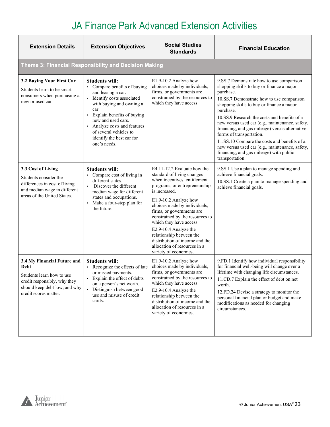| <b>Extension Details</b>                                                                                                                                   | <b>Extension Objectives</b>                                                                                                                                                                                                                                                                           | <b>Social Studies</b><br><b>Standards</b>                                                                                                                                                                                                                                                                                                                                                                                                       | <b>Financial Education</b>                                                                                                                                                                                                                                                                                                                                                                                                                                                                                                                                  |  |
|------------------------------------------------------------------------------------------------------------------------------------------------------------|-------------------------------------------------------------------------------------------------------------------------------------------------------------------------------------------------------------------------------------------------------------------------------------------------------|-------------------------------------------------------------------------------------------------------------------------------------------------------------------------------------------------------------------------------------------------------------------------------------------------------------------------------------------------------------------------------------------------------------------------------------------------|-------------------------------------------------------------------------------------------------------------------------------------------------------------------------------------------------------------------------------------------------------------------------------------------------------------------------------------------------------------------------------------------------------------------------------------------------------------------------------------------------------------------------------------------------------------|--|
| Theme 3: Financial Responsibility and Decision Making                                                                                                      |                                                                                                                                                                                                                                                                                                       |                                                                                                                                                                                                                                                                                                                                                                                                                                                 |                                                                                                                                                                                                                                                                                                                                                                                                                                                                                                                                                             |  |
| 3.2 Buying Your First Car<br>Students learn to be smart<br>consumers when purchasing a<br>new or used car                                                  | <b>Students will:</b><br>• Compare benefits of buying<br>and leasing a car.<br>Identify costs associated<br>with buying and owning a<br>car.<br>Explain benefits of buying<br>new and used cars.<br>Analyze costs and features<br>of several vehicles to<br>identify the best car for<br>one's needs. | E1.9-10.2 Analyze how<br>choices made by individuals,<br>firms, or governments are<br>constrained by the resources to<br>which they have access.                                                                                                                                                                                                                                                                                                | 9.SS.7 Demonstrate how to use comparison<br>shopping skills to buy or finance a major<br>purchase.<br>10.SS.7 Demonstrate how to use comparison<br>shopping skills to buy or finance a major<br>purchase.<br>10.SS.9 Research the costs and benefits of a<br>new versus used car (e.g., maintenance, safety,<br>financing, and gas mileage) versus alternative<br>forms of transportation.<br>11.SS.10 Compare the costs and benefits of a<br>new versus used car (e.g., maintenance, safety,<br>financing, and gas mileage) with public<br>transportation. |  |
| 3.3 Cost of Living<br>Students consider the<br>differences in cost of living<br>and median wage in different<br>areas of the United States.                | <b>Students will:</b><br>Compare cost of living in<br>$\blacksquare$<br>different states.<br>Discover the different<br>median wage for different<br>states and occupations.<br>Make a four-step plan for<br>$\blacksquare$<br>the future.                                                             | E4.11-12.2 Evaluate how the<br>standard of living changes<br>when incentives, entitlement<br>programs, or entrepreneurship<br>is increased.<br>E1.9-10.2 Analyze how<br>choices made by individuals,<br>firms, or governments are<br>constrained by the resources to<br>which they have access.<br>E2.9-10.4 Analyze the<br>relationship between the<br>distribution of income and the<br>allocation of resources in a<br>variety of economies. | 9.SS.1 Use a plan to manage spending and<br>achieve financial goals.<br>10.SS.1 Create a plan to manage spending and<br>achieve financial goals.                                                                                                                                                                                                                                                                                                                                                                                                            |  |
| 3.4 My Financial Future and<br>Debt<br>Students learn how to use<br>credit responsibly, why they<br>should keep debt low, and why<br>credit scores matter. | <b>Students will:</b><br>Recognize the effects of late<br>or missed payments.<br>Explain the effect of debts<br>$\blacksquare$<br>on a person's net worth.<br>Distinguish between good<br>use and misuse of credit<br>cards.                                                                          | E1.9-10.2 Analyze how<br>choices made by individuals,<br>firms, or governments are<br>constrained by the resources to<br>which they have access.<br>E2.9-10.4 Analyze the<br>relationship between the<br>distribution of income and the<br>allocation of resources in a<br>variety of economies.                                                                                                                                                | 9.FD.1 Identify how individual responsibility<br>for financial well-being will change over a<br>lifetime with changing life circumstances.<br>11.CD.7 Explain the effect of debt on net<br>worth.<br>12.FD.24 Devise a strategy to monitor the<br>personal financial plan or budget and make<br>modifications as needed for changing<br>circumstances.                                                                                                                                                                                                      |  |

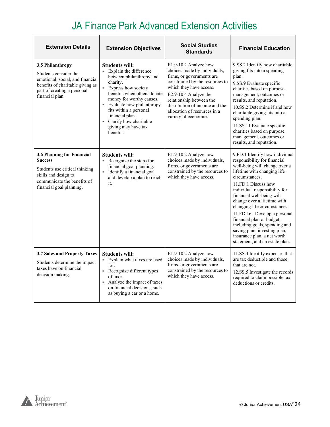| <b>Extension Details</b>                                                                                                                                            | <b>Extension Objectives</b>                                                                                                                                                                                                                                                                                               | <b>Social Studies</b><br><b>Standards</b>                                                                                                                                                                                                                                                        | <b>Financial Education</b>                                                                                                                                                                                                                                                                                                                                                                                                                                                                         |
|---------------------------------------------------------------------------------------------------------------------------------------------------------------------|---------------------------------------------------------------------------------------------------------------------------------------------------------------------------------------------------------------------------------------------------------------------------------------------------------------------------|--------------------------------------------------------------------------------------------------------------------------------------------------------------------------------------------------------------------------------------------------------------------------------------------------|----------------------------------------------------------------------------------------------------------------------------------------------------------------------------------------------------------------------------------------------------------------------------------------------------------------------------------------------------------------------------------------------------------------------------------------------------------------------------------------------------|
| 3.5 Philanthropy<br>Students consider the<br>emotional, social, and financial<br>benefits of charitable giving as<br>part of creating a personal<br>financial plan. | <b>Students will:</b><br>• Explain the difference<br>between philanthropy and<br>charity.<br>• Express how society<br>benefits when others donate<br>money for worthy causes.<br>• Evaluate how philanthropy<br>fits within a personal<br>financial plan.<br>• Clarify how charitable<br>giving may have tax<br>benefits. | E1.9-10.2 Analyze how<br>choices made by individuals,<br>firms, or governments are<br>constrained by the resources to<br>which they have access.<br>E2.9-10.4 Analyze the<br>relationship between the<br>distribution of income and the<br>allocation of resources in a<br>variety of economies. | 9.SS.2 Identify how charitable<br>giving fits into a spending<br>plan.<br>9.SS.9 Evaluate specific<br>charities based on purpose,<br>management, outcomes or<br>results, and reputation.<br>10.SS.2 Determine if and how<br>charitable giving fits into a<br>spending plan.<br>11.SS.11 Evaluate specific<br>charities based on purpose,<br>management, outcomes or<br>results, and reputation.                                                                                                    |
| 3.6 Planning for Financial<br><b>Success</b><br>Students use critical thinking<br>skills and design to<br>communicate the benefits of<br>financial goal planning.   | <b>Students will:</b><br>• Recognize the steps for<br>financial goal planning.<br>· Identify a financial goal<br>and develop a plan to reach<br>it.                                                                                                                                                                       | E1.9-10.2 Analyze how<br>choices made by individuals,<br>firms, or governments are<br>constrained by the resources to<br>which they have access.                                                                                                                                                 | 9.FD.1 Identify how individual<br>responsibility for financial<br>well-being will change over a<br>lifetime with changing life<br>circumstances.<br>11.FD.1 Discuss how<br>individual responsibility for<br>financial well-being will<br>change over a lifetime with<br>changing life circumstances.<br>11.FD.16 Develop a personal<br>financial plan or budget,<br>including goals, spending and<br>saving plan, investing plan,<br>insurance plan, a net worth<br>statement, and an estate plan. |
| 3.7 Sales and Property Taxes<br>Students determine the impact<br>taxes have on financial<br>decision making.                                                        | <b>Students will:</b><br>• Explain what taxes are used<br>for.<br>• Recognize different types<br>of taxes.<br>Analyze the impact of taxes<br>$\blacksquare$<br>on financial decisions, such<br>as buying a car or a home.                                                                                                 | E1.9-10.2 Analyze how<br>choices made by individuals,<br>firms, or governments are<br>constrained by the resources to<br>which they have access.                                                                                                                                                 | 11.SS.4 Identify expenses that<br>are tax deductible and those<br>that are not.<br>12.SS.5 Investigate the records<br>required to claim possible tax<br>deductions or credits.                                                                                                                                                                                                                                                                                                                     |

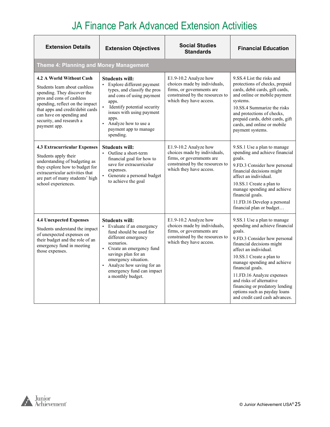| <b>Extension Details</b>                                                                                                                                                                                                                                             | <b>Extension Objectives</b>                                                                                                                                                                                                                                                   | <b>Social Studies</b><br><b>Standards</b>                                                                                                        | <b>Financial Education</b>                                                                                                                                                                                                                                                                                                                                                                                |
|----------------------------------------------------------------------------------------------------------------------------------------------------------------------------------------------------------------------------------------------------------------------|-------------------------------------------------------------------------------------------------------------------------------------------------------------------------------------------------------------------------------------------------------------------------------|--------------------------------------------------------------------------------------------------------------------------------------------------|-----------------------------------------------------------------------------------------------------------------------------------------------------------------------------------------------------------------------------------------------------------------------------------------------------------------------------------------------------------------------------------------------------------|
| <b>Theme 4: Planning and Money Management</b>                                                                                                                                                                                                                        |                                                                                                                                                                                                                                                                               |                                                                                                                                                  |                                                                                                                                                                                                                                                                                                                                                                                                           |
| 4.2 A World Without Cash<br>Students learn about cashless<br>spending. They discover the<br>pros and cons of cashless<br>spending, reflect on the impact<br>that apps and credit/debit cards<br>can have on spending and<br>security, and research a<br>payment app. | <b>Students will:</b><br>• Explore different payment<br>types, and classify the pros<br>and cons of using payment<br>apps.<br>Identify potential security<br>issues with using payment<br>apps.<br>Analyze how to use a<br>payment app to manage<br>spending.                 | E1.9-10.2 Analyze how<br>choices made by individuals,<br>firms, or governments are<br>constrained by the resources to<br>which they have access. | 9.SS.4 List the risks and<br>protections of checks, prepaid<br>cards, debit cards, gift cards,<br>and online or mobile payment<br>systems.<br>10.SS.4 Summarize the risks<br>and protections of checks,<br>prepaid cards, debit cards, gift<br>cards, and online or mobile<br>payment systems.                                                                                                            |
| <b>4.3 Extracurricular Expenses</b><br>Students apply their<br>understanding of budgeting as<br>they explore how to budget for<br>extracurricular activities that<br>are part of many students' high<br>school experiences.                                          | <b>Students will:</b><br>• Outline a short-term<br>financial goal for how to<br>save for extracurricular<br>expenses.<br>Generate a personal budget<br>to achieve the goal                                                                                                    | E1.9-10.2 Analyze how<br>choices made by individuals,<br>firms, or governments are<br>constrained by the resources to<br>which they have access. | 9.SS.1 Use a plan to manage<br>spending and achieve financial<br>goals.<br>9.FD.3 Consider how personal<br>financial decisions might<br>affect an individual.<br>10.SS.1 Create a plan to<br>manage spending and achieve<br>financial goals.<br>11.FD.16 Develop a personal<br>financial plan or budget                                                                                                   |
| <b>4.4 Unexpected Expenses</b><br>Students understand the impact<br>of unexpected expenses on<br>their budget and the role of an<br>emergency fund in meeting<br>those expenses.                                                                                     | <b>Students will:</b><br>Evaluate if an emergency<br>fund should be used for<br>different emergency<br>scenarios.<br>• Create an emergency fund<br>savings plan for an<br>emergency situation.<br>Analyze how saving for an<br>emergency fund can impact<br>a monthly budget. | E1.9-10.2 Analyze how<br>choices made by individuals,<br>firms, or governments are<br>constrained by the resources to<br>which they have access. | 9.SS.1 Use a plan to manage<br>spending and achieve financial<br>goals.<br>9.FD.3 Consider how personal<br>financial decisions might<br>affect an individual.<br>10.SS.1 Create a plan to<br>manage spending and achieve<br>financial goals.<br>11.FD.16 Analyze expenses<br>and risks of alternative<br>financing or predatory lending<br>options such as payday loans<br>and credit card cash advances. |

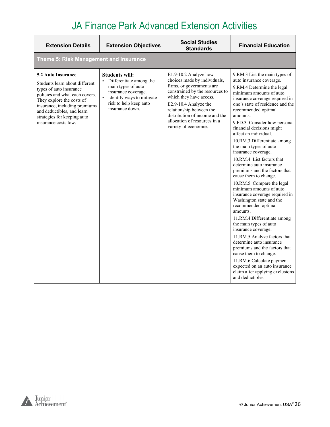| <b>Extension Details</b>                                                                                                                                                                                                                                             | <b>Extension Objectives</b>                                                                                                                                               | <b>Social Studies</b><br><b>Standards</b>                                                                                                                                                                                                                                                        | <b>Financial Education</b>                                                                                                                                                                                                                                                                                                                                                                                                                                                                                                                                                                                                                                                                                                                                                                                                                                                                                                                                                                               |  |  |  |
|----------------------------------------------------------------------------------------------------------------------------------------------------------------------------------------------------------------------------------------------------------------------|---------------------------------------------------------------------------------------------------------------------------------------------------------------------------|--------------------------------------------------------------------------------------------------------------------------------------------------------------------------------------------------------------------------------------------------------------------------------------------------|----------------------------------------------------------------------------------------------------------------------------------------------------------------------------------------------------------------------------------------------------------------------------------------------------------------------------------------------------------------------------------------------------------------------------------------------------------------------------------------------------------------------------------------------------------------------------------------------------------------------------------------------------------------------------------------------------------------------------------------------------------------------------------------------------------------------------------------------------------------------------------------------------------------------------------------------------------------------------------------------------------|--|--|--|
| Theme 5: Risk Management and Insurance                                                                                                                                                                                                                               |                                                                                                                                                                           |                                                                                                                                                                                                                                                                                                  |                                                                                                                                                                                                                                                                                                                                                                                                                                                                                                                                                                                                                                                                                                                                                                                                                                                                                                                                                                                                          |  |  |  |
| 5.2 Auto Insurance<br>Students learn about different<br>types of auto insurance<br>policies and what each covers.<br>They explore the costs of<br>insurance, including premiums<br>and deductibles, and learn<br>strategies for keeping auto<br>insurance costs low. | <b>Students will:</b><br>• Differentiate among the<br>main types of auto<br>insurance coverage.<br>Identify ways to mitigate<br>risk to help keep auto<br>insurance down. | E1.9-10.2 Analyze how<br>choices made by individuals,<br>firms, or governments are<br>constrained by the resources to<br>which they have access.<br>E2.9-10.4 Analyze the<br>relationship between the<br>distribution of income and the<br>allocation of resources in a<br>variety of economies. | 9.RM.3 List the main types of<br>auto insurance coverage.<br>9.RM.4 Determine the legal<br>minimum amounts of auto<br>insurance coverage required in<br>one's state of residence and the<br>recommended optimal<br>amounts.<br>9.FD.3 Consider how personal<br>financial decisions might<br>affect an individual.<br>10.RM.3 Differentiate among<br>the main types of auto<br>insurance coverage.<br>10.RM.4 List factors that<br>determine auto insurance<br>premiums and the factors that<br>cause them to change.<br>10.RM.5 Compare the legal<br>minimum amounts of auto<br>insurance coverage required in<br>Washington state and the<br>recommended optimal<br>amounts.<br>11.RM.4 Differentiate among<br>the main types of auto<br>insurance coverage.<br>11.RM.5 Analyze factors that<br>determine auto insurance<br>premiums and the factors that<br>cause them to change.<br>11.RM.6 Calculate payment<br>expected on an auto insurance<br>claim after applying exclusions<br>and deductibles. |  |  |  |

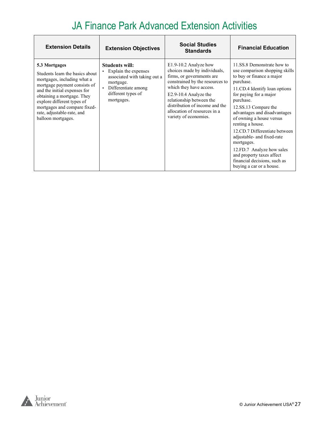| <b>Extension Details</b>                                                                                                                                                                                                                                                                        | <b>Extension Objectives</b>                                                                                                                           | <b>Social Studies</b><br><b>Standards</b>                                                                                                                                                                                                                                                        | <b>Financial Education</b>                                                                                                                                                                                                                                                                                                                                                                                                                                                                |
|-------------------------------------------------------------------------------------------------------------------------------------------------------------------------------------------------------------------------------------------------------------------------------------------------|-------------------------------------------------------------------------------------------------------------------------------------------------------|--------------------------------------------------------------------------------------------------------------------------------------------------------------------------------------------------------------------------------------------------------------------------------------------------|-------------------------------------------------------------------------------------------------------------------------------------------------------------------------------------------------------------------------------------------------------------------------------------------------------------------------------------------------------------------------------------------------------------------------------------------------------------------------------------------|
| 5.3 Mortgages<br>Students learn the basics about<br>mortgages, including what a<br>mortgage payment consists of<br>and the initial expenses for<br>obtaining a mortgage. They<br>explore different types of<br>mortgages and compare fixed-<br>rate, adjustable-rate, and<br>balloon mortgages. | <b>Students will:</b><br>Explain the expenses<br>associated with taking out a<br>mortgage.<br>Differentiate among<br>different types of<br>mortgages. | E1.9-10.2 Analyze how<br>choices made by individuals,<br>firms, or governments are<br>constrained by the resources to<br>which they have access.<br>E2.9-10.4 Analyze the<br>relationship between the<br>distribution of income and the<br>allocation of resources in a<br>variety of economies. | 11.SS.8 Demonstrate how to<br>use comparison shopping skills<br>to buy or finance a major<br>purchase.<br>11.CD.4 Identify loan options<br>for paying for a major<br>purchase.<br>12.SS.13 Compare the<br>advantages and disadvantages<br>of owning a house versus<br>renting a house.<br>12.CD.7 Differentiate between<br>adjustable- and fixed-rate<br>mortgages.<br>12.FD.7 Analyze how sales<br>and property taxes affect<br>financial decisions, such as<br>buying a car or a house. |